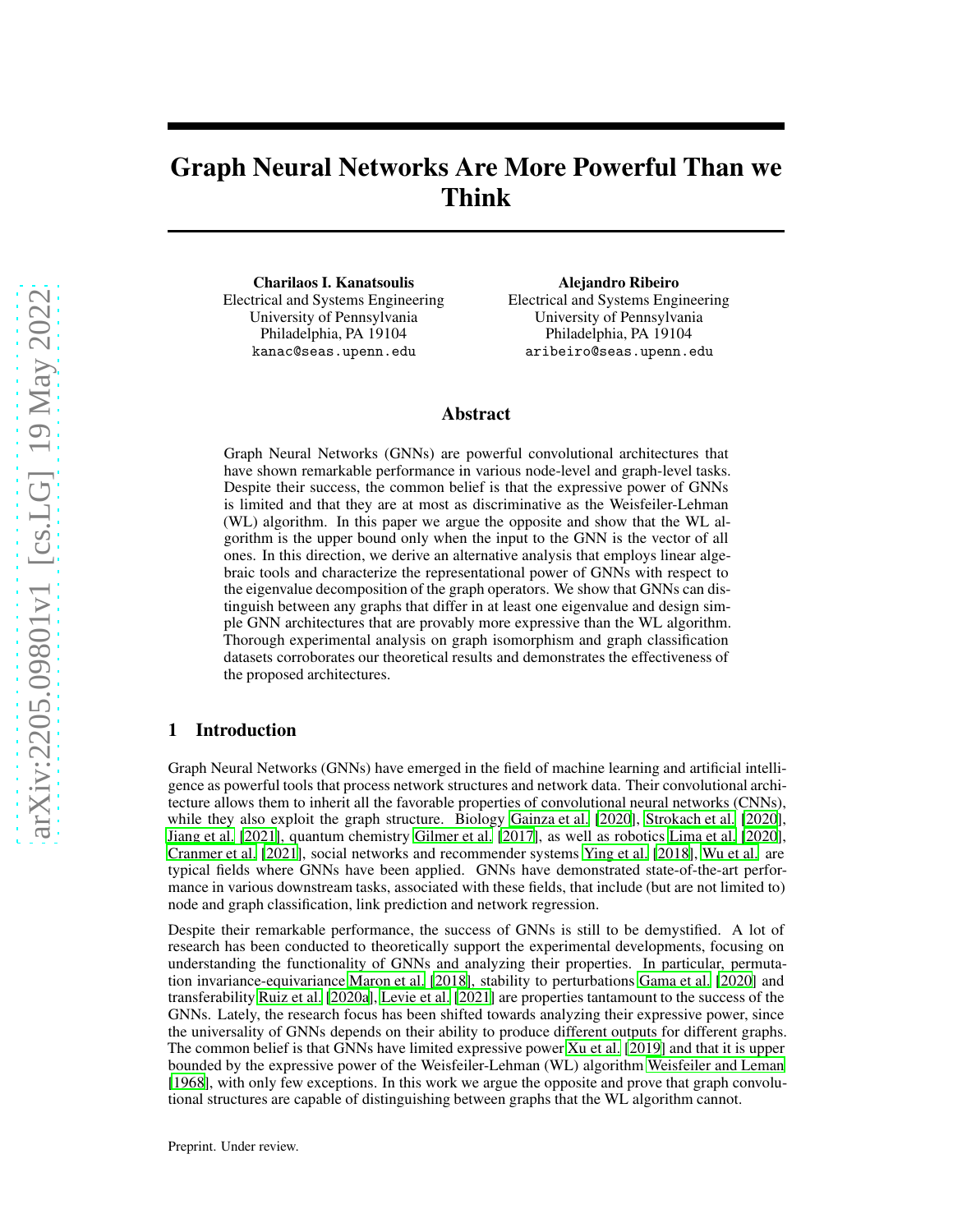# Graph Neural Networks Are More Powerful Than we Think

Charilaos I. Kanatsoulis Electrical and Systems Engineering University of Pennsylvania Philadelphia, PA 19104 kanac@seas.upenn.edu

Alejandro Ribeiro Electrical and Systems Engineering University of Pennsylvania Philadelphia, PA 19104 aribeiro@seas.upenn.edu

## Abstract

Graph Neural Networks (GNNs) are powerful convolutional architectures that have shown remarkable performance in various node-level and graph-level tasks. Despite their success, the common belief is that the expressive power of GNNs is limited and that they are at most as discriminative as the Weisfeiler-Lehman (WL) algorithm. In this paper we argue the opposite and show that the WL algorithm is the upper bound only when the input to the GNN is the vector of all ones. In this direction, we derive an alternative analysis that employs linear algebraic tools and characterize the representational power of GNNs with respect to the eigenvalue decomposition of the graph operators. We show that GNNs can distinguish between any graphs that differ in at least one eigenvalue and design simple GNN architectures that are provably more expressive than the WL algorithm. Thorough experimental analysis on graph isomorphism and graph classification datasets corroborates our theoretical results and demonstrates the effectiveness of the proposed architectures.

# 1 Introduction

Graph Neural Networks (GNNs) have emerged in the field of machine learning and artificial intelligence as powerful tools that process network structures and network data. Their convolutional architecture allows them to inherit all the favorable properties of convolutional neural networks (CNNs), while they also exploit the graph structure. Biology [Gainza](#page-9-0) et al. [\[2020\]](#page-9-0), [Strokach et al.](#page-11-0) [\[2020\]](#page-11-0), [Jiang et al. \[2021\]](#page-9-1), quantum chemistry [Gilmer et al. \[2017\]](#page-9-2), as well as robotics [Lima et al.](#page-10-0) [\[2020\]](#page-10-0), [Cranmer et al. \[2021\]](#page-9-3), social networks and recommender systems [Ying et al.](#page-11-1) [\[2018\]](#page-11-1), [Wu et al.](#page-11-2) are typical fields where GNNs have been applied. GNNs have demonstrated state-of-the-art performance in various downstream tasks, associated with these fields, that include (but are not limited to) node and graph classification, link prediction and network regression.

Despite their remarkable performance, the success of GNNs is still to be demystified. A lot of research has been conducted to theoretically support the experimental developments, focusing on understanding the functionality of GNNs and analyzing their properties. In particular, permutation invariance-equivariance [Maron et al.](#page-10-1) [\[2018\]](#page-10-1), stability to perturbations [Gama et al. \[2020\]](#page-9-4) and transferability [Ruiz et al.](#page-10-2) [\[2020a\]](#page-10-2), [Levie et al. \[2021\]](#page-10-3) are properties tantamount to the success of the GNNs. Lately, the research focus has been shifted towards analyzing their expressive power, since the universality of GNNs depends on their ability to produce different outputs for different graphs. The common belief is that GNNs have limited expressive power [Xu et al.](#page-11-3) [\[2019\]](#page-11-3) and that it is upper bounded by the expressive power of the Weisfeiler-Lehman (WL) algorithm [Weisfeiler and Leman](#page-11-4) [\[1968\]](#page-11-4), with only few exceptions. In this work we argue the opposite and prove that graph convolutional structures are capable of distinguishing between graphs that the WL algorithm cannot.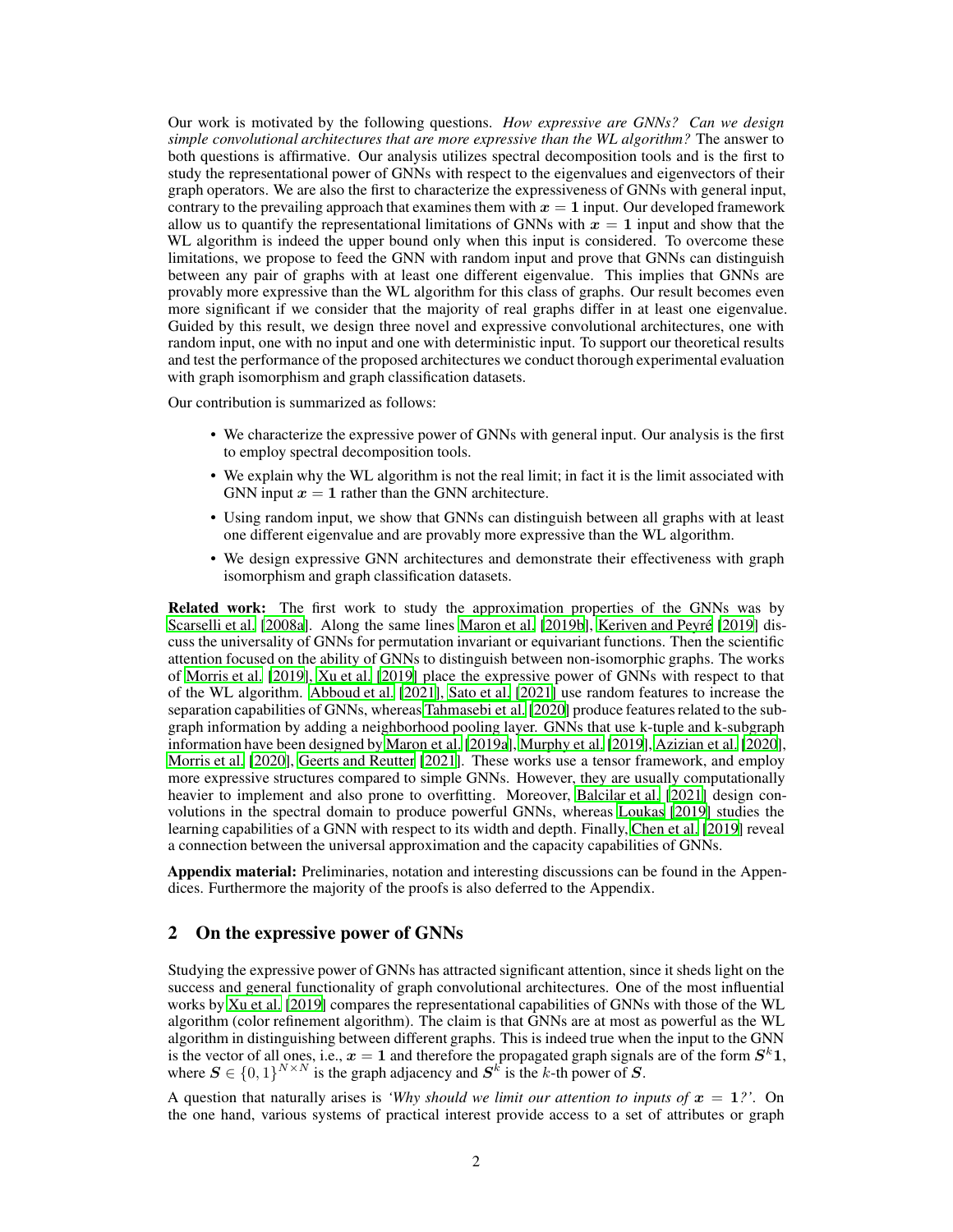Our work is motivated by the following questions. *How expressive are GNNs? Can we design simple convolutional architectures that are more expressive than the WL algorithm?* The answer to both questions is affirmative. Our analysis utilizes spectral decomposition tools and is the first to study the representational power of GNNs with respect to the eigenvalues and eigenvectors of their graph operators. We are also the first to characterize the expressiveness of GNNs with general input, contrary to the prevailing approach that examines them with  $x = 1$  input. Our developed framework allow us to quantify the representational limitations of GNNs with  $x = 1$  input and show that the WL algorithm is indeed the upper bound only when this input is considered. To overcome these limitations, we propose to feed the GNN with random input and prove that GNNs can distinguish between any pair of graphs with at least one different eigenvalue. This implies that GNNs are provably more expressive than the WL algorithm for this class of graphs. Our result becomes even more significant if we consider that the majority of real graphs differ in at least one eigenvalue. Guided by this result, we design three novel and expressive convolutional architectures, one with random input, one with no input and one with deterministic input. To support our theoretical results and test the performance of the proposed architectures we conduct thorough experimental evaluation with graph isomorphism and graph classification datasets.

Our contribution is summarized as follows:

- We characterize the expressive power of GNNs with general input. Our analysis is the first to employ spectral decomposition tools.
- We explain why the WL algorithm is not the real limit; in fact it is the limit associated with GNN input  $x = 1$  rather than the GNN architecture.
- Using random input, we show that GNNs can distinguish between all graphs with at least one different eigenvalue and are provably more expressive than the WL algorithm.
- We design expressive GNN architectures and demonstrate their effectiveness with graph isomorphism and graph classification datasets.

Related work: The first work to study the approximation properties of the GNNs was by [Scarselli et al.](#page-10-4) [\[2008a](#page-10-4)]. Along the same lines [Maron et al. \[2019b\]](#page-10-5), [Keriven and Peyré \[2019](#page-10-6)] discuss the universality of GNNs for permutation invariant or equivariant functions. Then the scientific attention focused on the ability of GNNs to distinguish between non-isomorphic graphs. The works of [Morris et al. \[2019\]](#page-10-7), [Xu et al. \[2019](#page-11-3)] place the expressive power of GNNs with respect to that of the WL algorithm. [Abboud et al.](#page-9-5) [\[2021\]](#page-9-5), [Sato et al. \[2021\]](#page-10-8) use random features to increase the separation capabilities of GNNs, whereas [Tahmasebi et al. \[2020\]](#page-11-5) produce features related to the subgraph information by adding a neighborhood pooling layer. GNNs that use k-tuple and k-subgraph information have been designed by [Maron et al. \[2019a\]](#page-10-9), [Murphy et al. \[2019\]](#page-10-10), [Azizian et al.](#page-9-6) [\[2020\]](#page-9-6), [Morris et al. \[2020](#page-10-11)], [Geerts and Reutter \[2021\]](#page-9-7). These works use a tensor framework, and employ more expressive structures compared to simple GNNs. However, they are usually computationally heavier to implement and also prone to overfitting. Moreover, [Balcilar et al. \[2021](#page-9-8)] design convolutions in the spectral domain to produce powerful GNNs, whereas [Loukas](#page-10-12) [\[2019\]](#page-10-12) studies the learning capabilities of a GNN with respect to its width and depth. Finally, [Chen et al.](#page-9-9) [\[2019\]](#page-9-9) reveal a connection between the universal approximation and the capacity capabilities of GNNs.

Appendix material: Preliminaries, notation and interesting discussions can be found in the Appendices. Furthermore the majority of the proofs is also deferred to the Appendix.

# 2 On the expressive power of GNNs

Studying the expressive power of GNNs has attracted significant attention, since it sheds light on the success and general functionality of graph convolutional architectures. One of the most influential works by [Xu et al.](#page-11-3) [\[2019\]](#page-11-3) compares the representational capabilities of GNNs with those of the WL algorithm (color refinement algorithm). The claim is that GNNs are at most as powerful as the WL algorithm in distinguishing between different graphs. This is indeed true when the input to the GNN is the vector of all ones, i.e.,  $x = 1$  and therefore the propagated graph signals are of the form  $S^k 1$ , where  $S \in \{0,1\}^{N \times N}$  is the graph adjacency and  $S^k$  is the k-th power of S.

A question that naturally arises is *'Why should we limit our attention to inputs of*  $x = 1$ ?'. On the one hand, various systems of practical interest provide access to a set of attributes or graph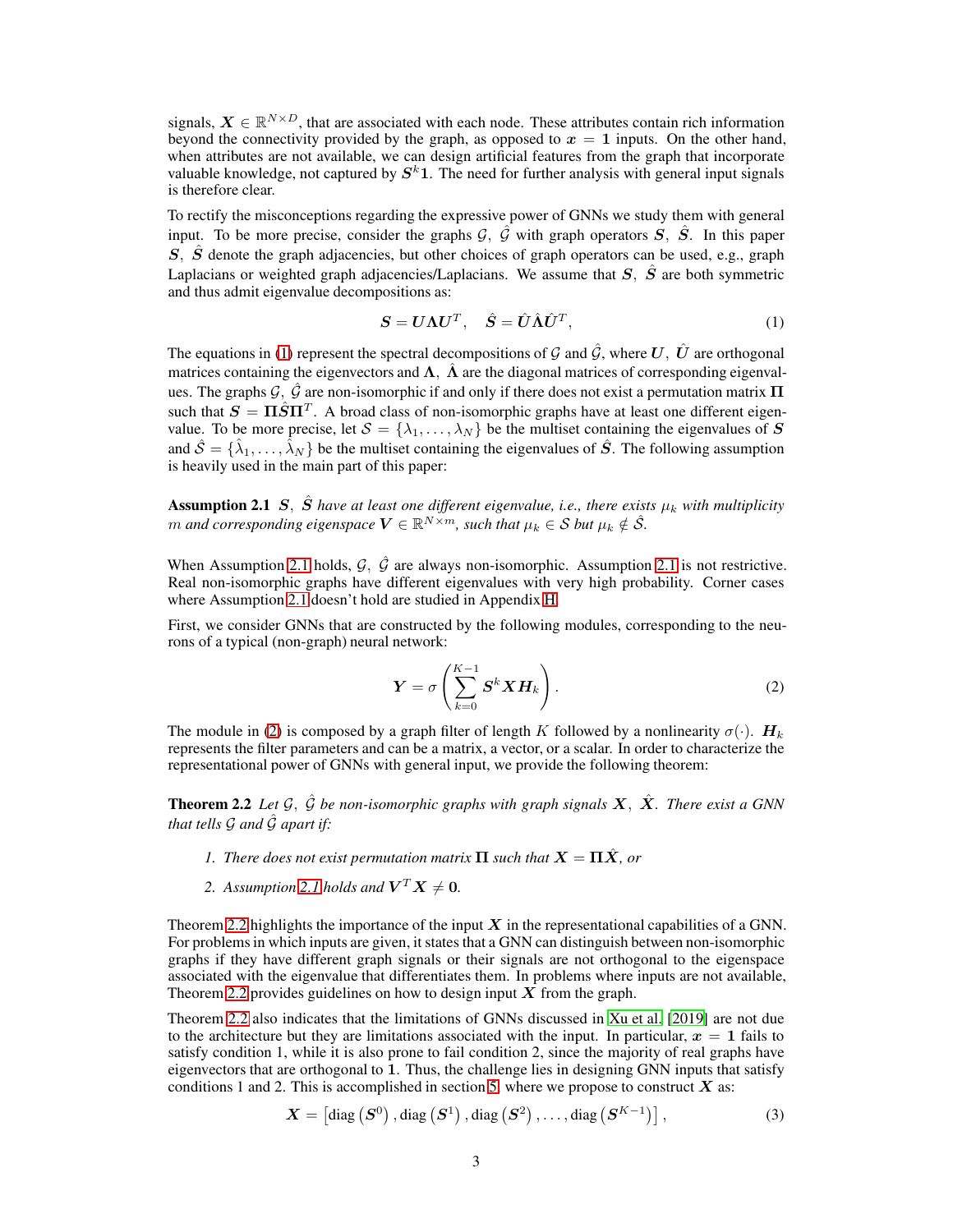signals,  $X \in \mathbb{R}^{N \times D}$ , that are associated with each node. These attributes contain rich information beyond the connectivity provided by the graph, as opposed to  $x = 1$  inputs. On the other hand, when attributes are not available, we can design artificial features from the graph that incorporate valuable knowledge, not captured by  $S^k 1$ . The need for further analysis with general input signals is therefore clear.

To rectify the misconceptions regarding the expressive power of GNNs we study them with general input. To be more precise, consider the graphs  $\mathcal{G}, \hat{\mathcal{G}}$  with graph operators  $\mathcal{S}, \hat{\mathcal{S}}$ . In this paper  $S$ ,  $\hat{S}$  denote the graph adjacencies, but other choices of graph operators can be used, e.g., graph Laplacians or weighted graph adjacencies/Laplacians. We assume that  $S$ ,  $\hat{S}$  are both symmetric and thus admit eigenvalue decompositions as:

<span id="page-2-1"></span><span id="page-2-0"></span>
$$
\mathbf{S} = \mathbf{U}\mathbf{\Lambda}\mathbf{U}^T, \quad \hat{\mathbf{S}} = \hat{\mathbf{U}}\hat{\mathbf{\Lambda}}\hat{\mathbf{U}}^T,\tag{1}
$$

The equations in [\(1\)](#page-2-0) represent the spectral decompositions of G and  $\hat{G}$ , where U,  $\hat{U}$  are orthogonal matrices containing the eigenvectors and  $\Lambda$ ,  $\hat{\Lambda}$  are the diagonal matrices of corresponding eigenvalues. The graphs  $\mathcal{G}, \hat{\mathcal{G}}$  are non-isomorphic if and only if there does not exist a permutation matrix  $\Pi$ such that  $S = \Pi \hat{S} \Pi^T$ . A broad class of non-isomorphic graphs have at least one different eigenvalue. To be more precise, let  $S = \{\lambda_1, \dots, \lambda_N\}$  be the multiset containing the eigenvalues of S and  $\hat{S} = \{\hat{\lambda}_1, \dots, \hat{\lambda}_N\}$  be the multiset containing the eigenvalues of  $\hat{S}$ . The following assumption is heavily used in the main part of this paper:

**Assumption 2.1** S,  $\hat{S}$  *have at least one different eigenvalue, i.e., there exists*  $\mu_k$  *with multiplicity* m and corresponding eigenspace  $V \in \mathbb{R}^{N \times m}$ , such that  $\mu_k \in \mathcal{S}$  but  $\mu_k \notin \hat{\mathcal{S}}$ .

When Assumption [2.1](#page-2-1) holds,  $\mathcal{G}, \hat{\mathcal{G}}$  are always non-isomorphic. Assumption 2.1 is not restrictive. Real non-isomorphic graphs have different eigenvalues with very high probability. Corner cases where Assumption [2.1](#page-2-1) doesn't hold are studied in Appendix [H.](#page-19-0)

First, we consider GNNs that are constructed by the following modules, corresponding to the neurons of a typical (non-graph) neural network:

<span id="page-2-2"></span>
$$
\boldsymbol{Y} = \sigma \left( \sum_{k=0}^{K-1} \boldsymbol{S}^k \boldsymbol{X} \boldsymbol{H}_k \right). \tag{2}
$$

The module in [\(2\)](#page-2-2) is composed by a graph filter of length K followed by a nonlinearity  $\sigma(\cdot)$ .  $H_k$ represents the filter parameters and can be a matrix, a vector, or a scalar. In order to characterize the representational power of GNNs with general input, we provide the following theorem:

<span id="page-2-3"></span>**Theorem 2.2** *Let*  $\mathcal{G}, \hat{\mathcal{G}}$  *be non-isomorphic graphs with graph signals*  $\mathbf{X}, \hat{\mathbf{X}}$ *. There exist a GNN that tells G and*  $\hat{G}$  *apart if:* 

- *1. There does not exist permutation matrix*  $\Pi$  *such that*  $X = \Pi \hat{X}$ *, or*
- 2. Assumption [2.1](#page-2-1) holds and  $V^T X \neq 0$ .

Theorem [2.2](#page-2-3) highlights the importance of the input  $X$  in the representational capabilities of a GNN. For problems in which inputs are given, it states that a GNN can distinguish between non-isomorphic graphs if they have different graph signals or their signals are not orthogonal to the eigenspace associated with the eigenvalue that differentiates them. In problems where inputs are not available, Theorem [2.2](#page-2-3) provides guidelines on how to design input  $\overline{X}$  from the graph.

Theorem [2.2](#page-2-3) also indicates that the limitations of GNNs discussed in [Xu et al. \[2019\]](#page-11-3) are not due to the architecture but they are limitations associated with the input. In particular,  $x = 1$  fails to satisfy condition 1, while it is also prone to fail condition 2, since the majority of real graphs have eigenvectors that are orthogonal to 1. Thus, the challenge lies in designing GNN inputs that satisfy conditions 1 and 2. This is accomplished in section [5,](#page-5-0) where we propose to construct  $X$  as:

<span id="page-2-4"></span>
$$
\mathbf{X} = \left[ \text{diag}\left( \mathbf{S}^{0} \right), \text{diag}\left( \mathbf{S}^{1} \right), \text{diag}\left( \mathbf{S}^{2} \right), \dots, \text{diag}\left( \mathbf{S}^{K-1} \right) \right],\tag{3}
$$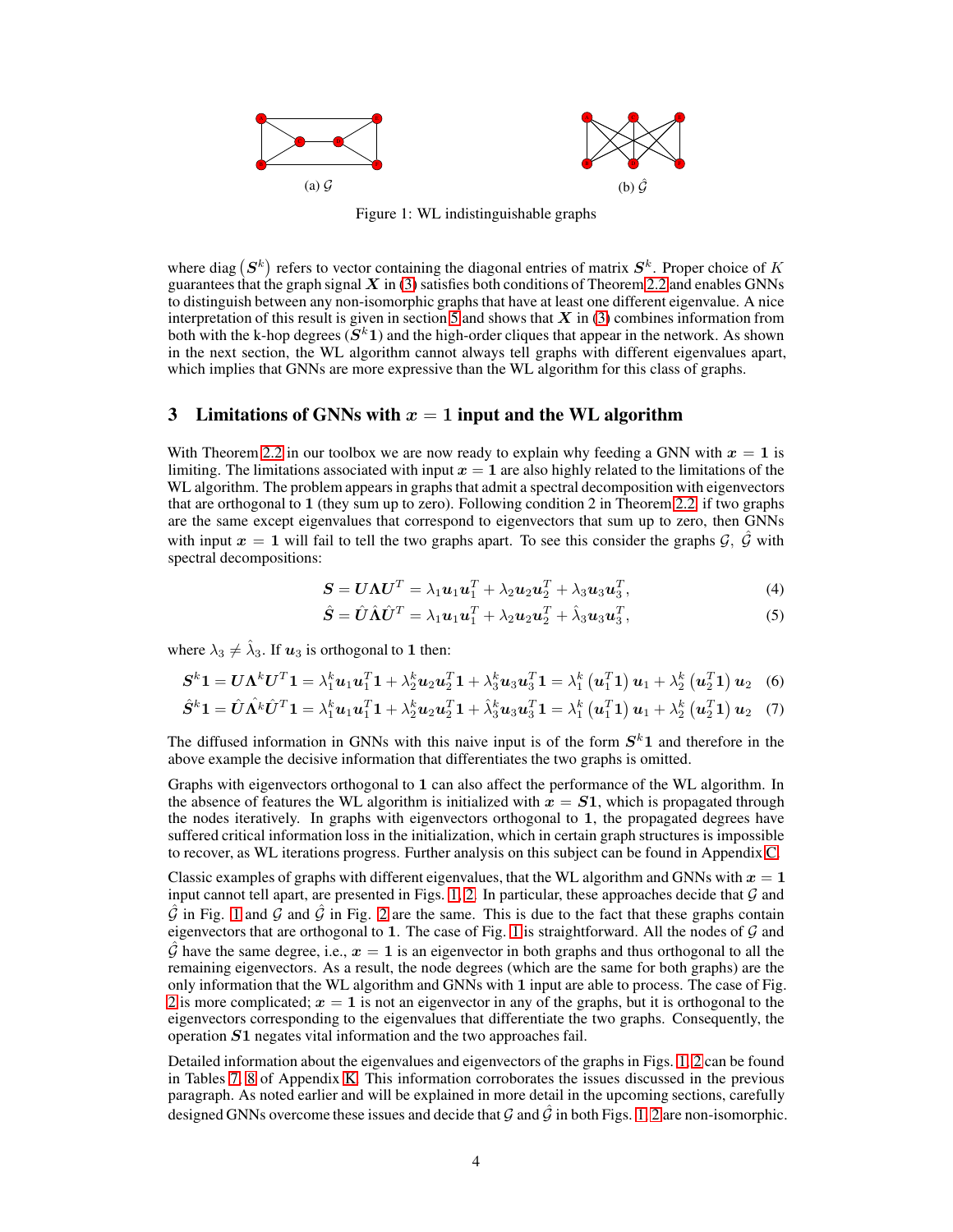<span id="page-3-0"></span>

Figure 1: WL indistinguishable graphs

where diag  $(S^k)$  refers to vector containing the diagonal entries of matrix  $S^k$ . Proper choice of K guarantees that the graph signal  $X$  in [\(3\)](#page-2-4) satisfies both conditions of Theorem [2.2](#page-2-3) and enables GNNs to distinguish between any non-isomorphic graphs that have at least one different eigenvalue. A nice interpretation of this result is given in section [5](#page-5-0) and shows that  $X$  in [\(3\)](#page-2-4) combines information from both with the k-hop degrees  $(S^k1)$  and the high-order cliques that appear in the network. As shown in the next section, the WL algorithm cannot always tell graphs with different eigenvalues apart, which implies that GNNs are more expressive than the WL algorithm for this class of graphs.

# <span id="page-3-1"></span>3 Limitations of GNNs with  $x = 1$  input and the WL algorithm

With Theorem [2.2](#page-2-3) in our toolbox we are now ready to explain why feeding a GNN with  $x = 1$  is limiting. The limitations associated with input  $x = 1$  are also highly related to the limitations of the WL algorithm. The problem appears in graphs that admit a spectral decomposition with eigenvectors that are orthogonal to 1 (they sum up to zero). Following condition 2 in Theorem [2.2,](#page-2-3) if two graphs are the same except eigenvalues that correspond to eigenvectors that sum up to zero, then GNNs with input  $x = 1$  will fail to tell the two graphs apart. To see this consider the graphs  $\mathcal{G}, \hat{\mathcal{G}}$  with spectral decompositions:

$$
\mathbf{S} = \mathbf{U}\boldsymbol{\Lambda}\mathbf{U}^T = \lambda_1\mathbf{u}_1\mathbf{u}_1^T + \lambda_2\mathbf{u}_2\mathbf{u}_2^T + \lambda_3\mathbf{u}_3\mathbf{u}_3^T,\tag{4}
$$

$$
\hat{\mathbf{S}} = \hat{\mathbf{U}} \hat{\mathbf{\Lambda}} \hat{\mathbf{U}}^T = \lambda_1 \mathbf{u}_1 \mathbf{u}_1^T + \lambda_2 \mathbf{u}_2 \mathbf{u}_2^T + \hat{\lambda}_3 \mathbf{u}_3 \mathbf{u}_3^T, \tag{5}
$$

where  $\lambda_3 \neq \hat{\lambda}_3$ . If  $u_3$  is orthogonal to 1 then:

$$
\boldsymbol{S}^{k} \boldsymbol{1} = \boldsymbol{U} \boldsymbol{\Lambda}^{k} \boldsymbol{U}^{T} \boldsymbol{1} = \lambda_{1}^{k} \boldsymbol{u}_{1} \boldsymbol{u}_{1}^{T} \boldsymbol{1} + \lambda_{2}^{k} \boldsymbol{u}_{2} \boldsymbol{u}_{2}^{T} \boldsymbol{1} + \lambda_{3}^{k} \boldsymbol{u}_{3} \boldsymbol{u}_{3}^{T} \boldsymbol{1} = \lambda_{1}^{k} \left( \boldsymbol{u}_{1}^{T} \boldsymbol{1} \right) \boldsymbol{u}_{1} + \lambda_{2}^{k} \left( \boldsymbol{u}_{2}^{T} \boldsymbol{1} \right) \boldsymbol{u}_{2} \quad (6)
$$

$$
\hat{S}^{k}\mathbf{1} = \hat{U}\hat{\Lambda^{k}}\hat{U}^{T}\mathbf{1} = \lambda_{1}^{k}\mathbf{u}_{1}\mathbf{u}_{1}^{T}\mathbf{1} + \lambda_{2}^{k}\mathbf{u}_{2}\mathbf{u}_{2}^{T}\mathbf{1} + \hat{\lambda}_{3}^{k}\mathbf{u}_{3}\mathbf{u}_{3}^{T}\mathbf{1} = \lambda_{1}^{k}(\mathbf{u}_{1}^{T}\mathbf{1})\mathbf{u}_{1} + \lambda_{2}^{k}(\mathbf{u}_{2}^{T}\mathbf{1})\mathbf{u}_{2} \quad (7)
$$

The diffused information in GNNs with this naive input is of the form  $S<sup>k</sup>1$  and therefore in the above example the decisive information that differentiates the two graphs is omitted.

Graphs with eigenvectors orthogonal to 1 can also affect the performance of the WL algorithm. In the absence of features the WL algorithm is initialized with  $x = S1$ , which is propagated through the nodes iteratively. In graphs with eigenvectors orthogonal to 1, the propagated degrees have suffered critical information loss in the initialization, which in certain graph structures is impossible to recover, as WL iterations progress. Further analysis on this subject can be found in Appendix [C.](#page-15-0)

Classic examples of graphs with different eigenvalues, that the WL algorithm and GNNs with  $x = 1$ input cannot tell apart, are presented in Figs. [1,](#page-3-0) [2.](#page-4-0) In particular, these approaches decide that  $G$  and  $\hat{G}$  in Fig. [1](#page-3-0) and  $G$  and  $\hat{G}$  in Fig. [2](#page-4-0) are the same. This is due to the fact that these graphs contain eigenvectors that are orthogonal to [1](#page-3-0). The case of Fig. 1 is straightforward. All the nodes of  $G$  and  $\hat{G}$  have the same degree, i.e.,  $x = 1$  is an eigenvector in both graphs and thus orthogonal to all the remaining eigenvectors. As a result, the node degrees (which are the same for both graphs) are the only information that the WL algorithm and GNNs with 1 input are able to process. The case of Fig. [2](#page-4-0) is more complicated;  $x = 1$  is not an eigenvector in any of the graphs, but it is orthogonal to the eigenvectors corresponding to the eigenvalues that differentiate the two graphs. Consequently, the operation S1 negates vital information and the two approaches fail.

Detailed information about the eigenvalues and eigenvectors of the graphs in Figs. [1,](#page-3-0) [2](#page-4-0) can be found in Tables [7,](#page-25-0) [8](#page-25-1) of Appendix [K.](#page-25-2) This information corroborates the issues discussed in the previous paragraph. As noted earlier and will be explained in more detail in the upcoming sections, carefully designed GNNs overcome these issues and decide that G and  $\hat{G}$  in both Figs. [1,](#page-3-0) [2](#page-4-0) are non-isomorphic.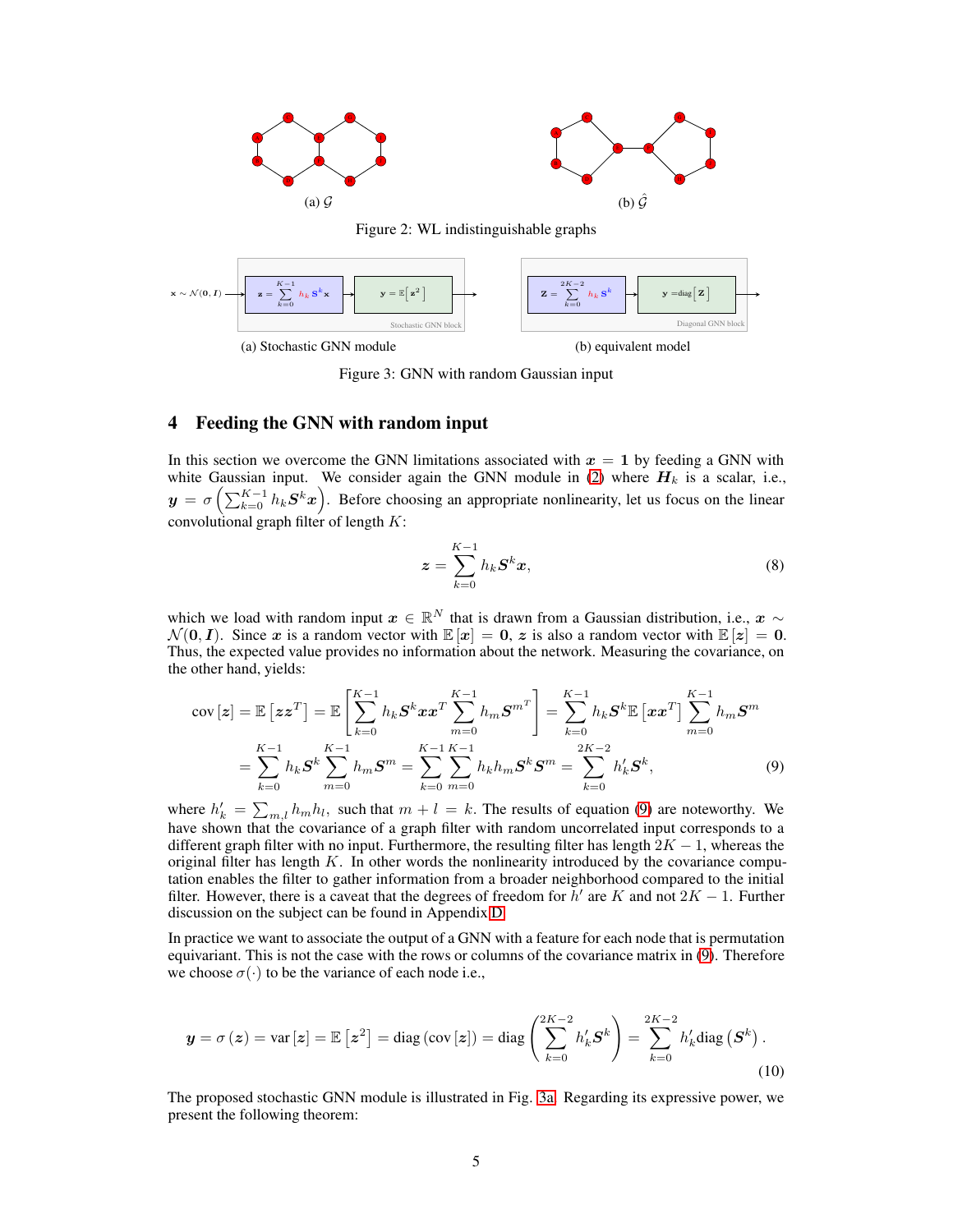<span id="page-4-0"></span>

<span id="page-4-2"></span>

Figure 3: GNN with random Gaussian input

# <span id="page-4-4"></span>4 Feeding the GNN with random input

In this section we overcome the GNN limitations associated with  $x = 1$  by feeding a GNN with white Gaussian input. We consider again the GNN module in [\(2\)](#page-2-2) where  $H_k$  is a scalar, i.e.,  $y = \sigma\left(\sum_{k=0}^{K-1} h_k \mathcal{S}^k x\right)$ . Before choosing an appropriate nonlinearity, let us focus on the linear convolutional graph filter of length  $K$ :

<span id="page-4-1"></span>
$$
\boldsymbol{z} = \sum_{k=0}^{K-1} h_k \boldsymbol{S}^k \boldsymbol{x},\tag{8}
$$

which we load with random input  $x \in \mathbb{R}^N$  that is drawn from a Gaussian distribution, i.e.,  $x \sim$  $\mathcal{N}(0, I)$ . Since x is a random vector with  $\mathbb{E}[x] = 0$ , z is also a random vector with  $\mathbb{E}[z] = 0$ . Thus, the expected value provides no information about the network. Measuring the covariance, on the other hand, yields:

$$
cov\left[\mathbf{z}\right] = \mathbb{E}\left[\mathbf{z}\mathbf{z}^T\right] = \mathbb{E}\left[\sum_{k=0}^{K-1} h_k \mathbf{S}^k \mathbf{x} \mathbf{x}^T \sum_{m=0}^{K-1} h_m \mathbf{S}^{m^T}\right] = \sum_{k=0}^{K-1} h_k \mathbf{S}^k \mathbb{E}\left[\mathbf{x}\mathbf{x}^T\right] \sum_{m=0}^{K-1} h_m \mathbf{S}^m
$$

$$
= \sum_{k=0}^{K-1} h_k \mathbf{S}^k \sum_{m=0}^{K-1} h_m \mathbf{S}^m = \sum_{k=0}^{K-1} \sum_{m=0}^{K-1} h_k h_m \mathbf{S}^k \mathbf{S}^m = \sum_{k=0}^{2K-2} h'_k \mathbf{S}^k,
$$
(9)

where  $h'_k = \sum_{m,l} h_m h_l$ , such that  $m + l = k$ . The results of equation [\(9\)](#page-4-1) are noteworthy. We have shown that the covariance of a graph filter with random uncorrelated input corresponds to a different graph filter with no input. Furthermore, the resulting filter has length  $2K - 1$ , whereas the original filter has length  $K$ . In other words the nonlinearity introduced by the covariance computation enables the filter to gather information from a broader neighborhood compared to the initial filter. However, there is a caveat that the degrees of freedom for  $\bar{h}'$  are K and not  $2K - 1$ . Further discussion on the subject can be found in Appendix [D.](#page-15-1)

In practice we want to associate the output of a GNN with a feature for each node that is permutation equivariant. This is not the case with the rows or columns of the covariance matrix in [\(9\)](#page-4-1). Therefore we choose  $\sigma(\cdot)$  to be the variance of each node i.e.,

<span id="page-4-3"></span>
$$
\mathbf{y} = \sigma(z) = \text{var}\left[z\right] = \mathbb{E}\left[z^2\right] = \text{diag}\left(\text{cov}\left[z\right]\right) = \text{diag}\left(\sum_{k=0}^{2K-2} h'_k \mathbf{S}^k\right) = \sum_{k=0}^{2K-2} h'_k \text{diag}\left(\mathbf{S}^k\right).
$$
\n(10)

<span id="page-4-5"></span>The proposed stochastic GNN module is illustrated in Fig. [3a.](#page-4-2) Regarding its expressive power, we present the following theorem: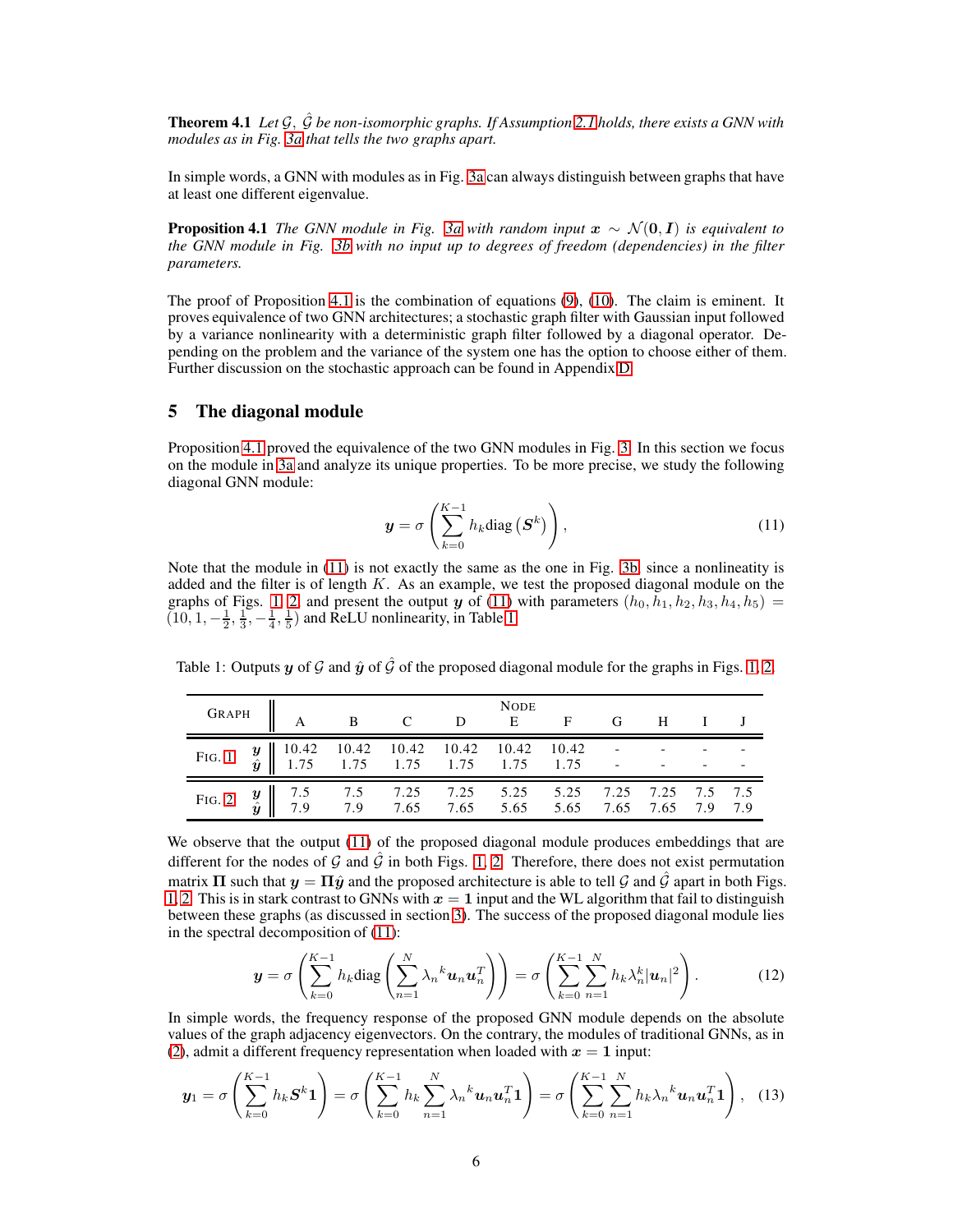Theorem 4.1 *Let* G, Gˆ *be non-isomorphic graphs. If Assumption [2.1](#page-2-1) holds, there exists a GNN with modules as in Fig. [3a](#page-4-2) that tells the two graphs apart.*

<span id="page-5-1"></span>In simple words, a GNN with modules as in Fig. [3a](#page-4-2) can always distinguish between graphs that have at least one different eigenvalue.

**Proposition 4.1** *The GNN module in Fig.* 3*a* with random input  $x \sim \mathcal{N}(0, I)$  is equivalent to *the GNN module in Fig. [3b](#page-4-2) with no input up to degrees of freedom (dependencies) in the filter parameters.*

The proof of Proposition [4.1](#page-5-1) is the combination of equations [\(9\)](#page-4-1), [\(10\)](#page-4-3). The claim is eminent. It proves equivalence of two GNN architectures; a stochastic graph filter with Gaussian input followed by a variance nonlinearity with a deterministic graph filter followed by a diagonal operator. Depending on the problem and the variance of the system one has the option to choose either of them. Further discussion on the stochastic approach can be found in Appendix [D.](#page-15-1)

# <span id="page-5-0"></span>5 The diagonal module

Proposition [4.1](#page-5-1) proved the equivalence of the two GNN modules in Fig. [3.](#page-4-2) In this section we focus on the module in [3a](#page-4-2) and analyze its unique properties. To be more precise, we study the following diagonal GNN module:

<span id="page-5-2"></span>
$$
\mathbf{y} = \sigma \left( \sum_{k=0}^{K-1} h_k \text{diag} \left( \mathbf{S}^k \right) \right), \tag{11}
$$

Note that the module in [\(11\)](#page-5-2) is not exactly the same as the one in Fig. [3b,](#page-4-2) since a nonlineatity is added and the filter is of length  $K$ . As an example, we test the proposed diagonal module on the graphs of Figs. [1,](#page-3-0) [2,](#page-4-0) and present the output y of [\(11\)](#page-5-2) with parameters  $(h_0, h_1, h_2, h_3, h_4, h_5)$  =  $(10, 1, -\frac{1}{2}, \frac{1}{3}, -\frac{1}{4}, \frac{1}{5})$  and ReLU nonlinearity, in Table [1.](#page-5-3)

<span id="page-5-3"></span>Table 1: Outputs y of G and  $\hat{y}$  of  $\hat{G}$  of the proposed diagonal module for the graphs in Figs. [1,](#page-3-0) [2.](#page-4-0)

|  | GRAPH A B C D NODE F G H I J |  |  |  |  |  |
|--|------------------------------|--|--|--|--|--|
|  |                              |  |  |  |  |  |
|  |                              |  |  |  |  |  |

We observe that the output [\(11\)](#page-5-2) of the proposed diagonal module produces embeddings that are different for the nodes of G and  $\hat{G}$  in both Figs. [1,](#page-3-0) [2.](#page-4-0) Therefore, there does not exist permutation matrix  $\Pi$  such that  $y = \Pi \hat{y}$  and the proposed architecture is able to tell  $\hat{y}$  and  $\hat{G}$  apart in both Figs. [1,](#page-3-0) [2.](#page-4-0) This is in stark contrast to GNNs with  $x = 1$  input and the WL algorithm that fail to distinguish between these graphs (as discussed in section [3\)](#page-3-1). The success of the proposed diagonal module lies in the spectral decomposition of [\(11\)](#page-5-2):

<span id="page-5-4"></span>
$$
\boldsymbol{y} = \sigma \left( \sum_{k=0}^{K-1} h_k \text{diag} \left( \sum_{n=1}^N \lambda_n^k \boldsymbol{u}_n \boldsymbol{u}_n^T \right) \right) = \sigma \left( \sum_{k=0}^{K-1} \sum_{n=1}^N h_k \lambda_n^k |\boldsymbol{u}_n|^2 \right). \tag{12}
$$

In simple words, the frequency response of the proposed GNN module depends on the absolute values of the graph adjacency eigenvectors. On the contrary, the modules of traditional GNNs, as in [\(2\)](#page-2-2), admit a different frequency representation when loaded with  $x = 1$  input:

$$
\mathbf{y}_1 = \sigma \left( \sum_{k=0}^{K-1} h_k \mathbf{S}^k \mathbf{1} \right) = \sigma \left( \sum_{k=0}^{K-1} h_k \sum_{n=1}^N \lambda_n^k \mathbf{u}_n \mathbf{u}_n^T \mathbf{1} \right) = \sigma \left( \sum_{k=0}^{K-1} \sum_{n=1}^N h_k \lambda_n^k \mathbf{u}_n \mathbf{u}_n^T \mathbf{1} \right), \quad (13)
$$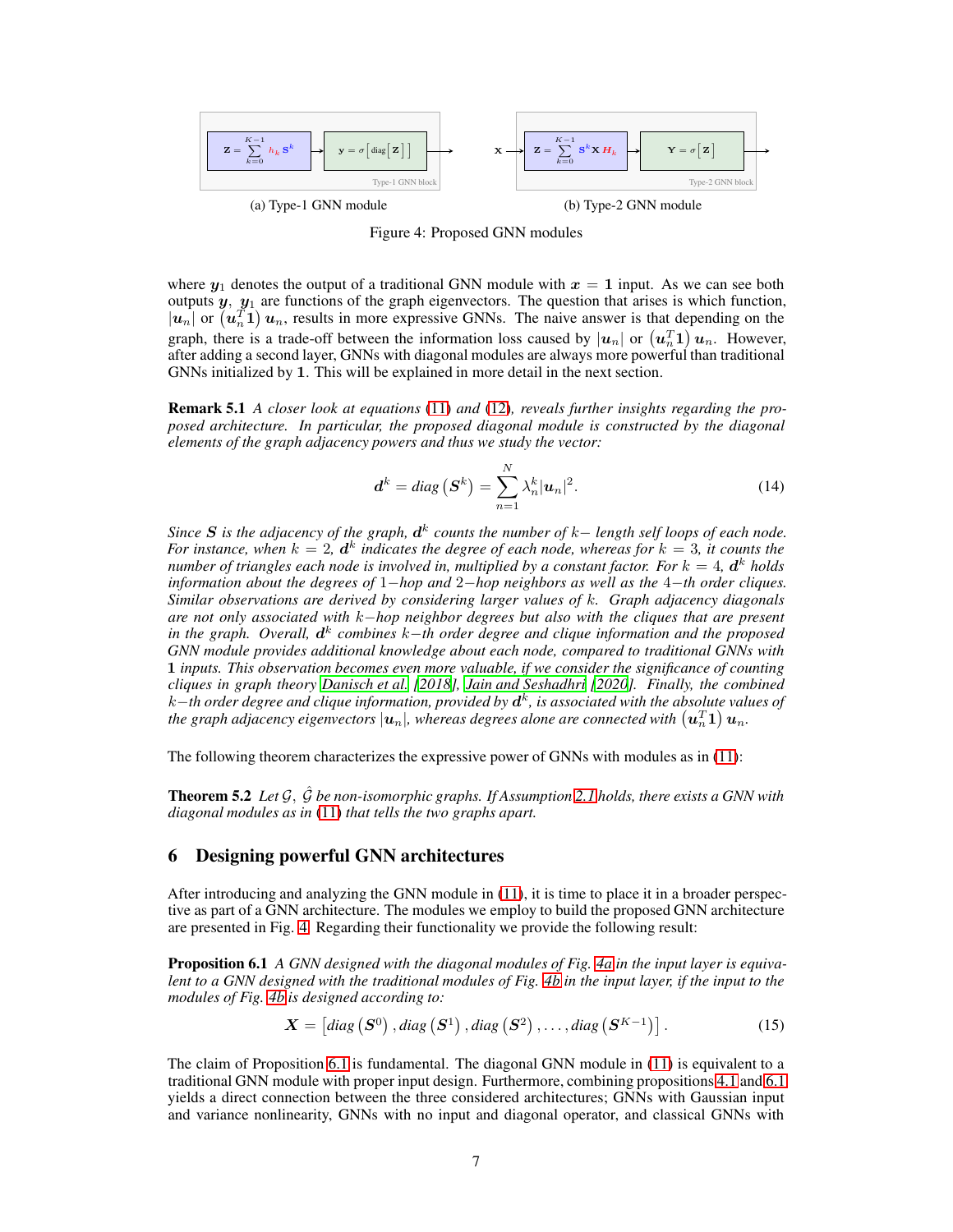<span id="page-6-0"></span>

Figure 4: Proposed GNN modules

where  $y_1$  denotes the output of a traditional GNN module with  $x = 1$  input. As we can see both outputs  $y$ ,  $y_1$  are functions of the graph eigenvectors. The question that arises is which function,  $|u_n|$  or  $(u_n^{\tilde{T}} \mathbf{1}) u_n$ , results in more expressive GNNs. The naive answer is that depending on the graph, there is a trade-off between the information loss caused by  $|u_n|$  or  $(u_n^T 1) u_n$ . However, after adding a second layer, GNNs with diagonal modules are always more powerful than traditional GNNs initialized by 1. This will be explained in more detail in the next section.

Remark 5.1 *A closer look at equations* [\(11\)](#page-5-2) *and* [\(12\)](#page-5-4)*, reveals further insights regarding the proposed architecture. In particular, the proposed diagonal module is constructed by the diagonal elements of the graph adjacency powers and thus we study the vector:*

<span id="page-6-3"></span>
$$
\boldsymbol{d}^{k} = diag\left(\boldsymbol{S}^{k}\right) = \sum_{n=1}^{N} \lambda_{n}^{k} |\boldsymbol{u}_{n}|^{2}.
$$
 (14)

*Since* S *is the adjacency of the graph,* d k *counts the number of* k− *length self loops of each node.* For instance, when  $k = 2$ ,  $d^k$  indicates the degree of each node, whereas for  $k = 3$ , it counts the *number of triangles each node is involved in, multiplied by a constant factor. For*  $k = 4$ *,*  $\boldsymbol{d}^k$  *holds information about the degrees of* 1−*hop and* 2−*hop neighbors as well as the* 4−*th order cliques. Similar observations are derived by considering larger values of* k*. Graph adjacency diagonals are not only associated with* k−*hop neighbor degrees but also with the cliques that are present in the graph. Overall, d<sup>k</sup> combines k−th order degree and clique information and the proposed GNN module provides additional knowledge about each node, compared to traditional GNNs with* 1 *inputs. This observation becomes even more valuable, if we consider the significance of counting cliques in graph theory [Danisch et al.](#page-9-10) [\[2018\]](#page-9-10), [Jain and Seshadhri \[2020\]](#page-9-11). Finally, the combined* k−*th order degree and clique information, provided by* d k *, is associated with the absolute values of* the graph adjacency eigenvectors  $|{\bm u}_n|$ , whereas degrees alone are connected with  $\left(\bm{u}_n^T\bm{1}\right)\bm{u}_n$ .

The following theorem characterizes the expressive power of GNNs with modules as in [\(11\)](#page-5-2):

Theorem 5.2 *Let* G, Gˆ *be non-isomorphic graphs. If Assumption [2.1](#page-2-1) holds, there exists a GNN with diagonal modules as in* [\(11\)](#page-5-2) *that tells the two graphs apart.*

# 6 Designing powerful GNN architectures

After introducing and analyzing the GNN module in [\(11\)](#page-5-2), it is time to place it in a broader perspective as part of a GNN architecture. The modules we employ to build the proposed GNN architecture are presented in Fig. [4.](#page-6-0) Regarding their functionality we provide the following result:

Proposition 6.1 *A GNN designed with the diagonal modules of Fig. [4a](#page-6-0) in the input layer is equivalent to a GNN designed with the traditional modules of Fig. [4b](#page-6-0) in the input layer, if the input to the modules of Fig. [4b](#page-6-0) is designed according to:*

<span id="page-6-2"></span><span id="page-6-1"></span>
$$
\mathbf{X} = \left[ diag\left( \mathbf{S}^{0} \right), diag\left( \mathbf{S}^{1} \right), diag\left( \mathbf{S}^{2} \right), \dots, diag\left( \mathbf{S}^{K-1} \right) \right]. \tag{15}
$$

The claim of Proposition [6.1](#page-6-1) is fundamental. The diagonal GNN module in [\(11\)](#page-5-2) is equivalent to a traditional GNN module with proper input design. Furthermore, combining propositions [4.1](#page-5-1) and [6.1](#page-6-1) yields a direct connection between the three considered architectures; GNNs with Gaussian input and variance nonlinearity, GNNs with no input and diagonal operator, and classical GNNs with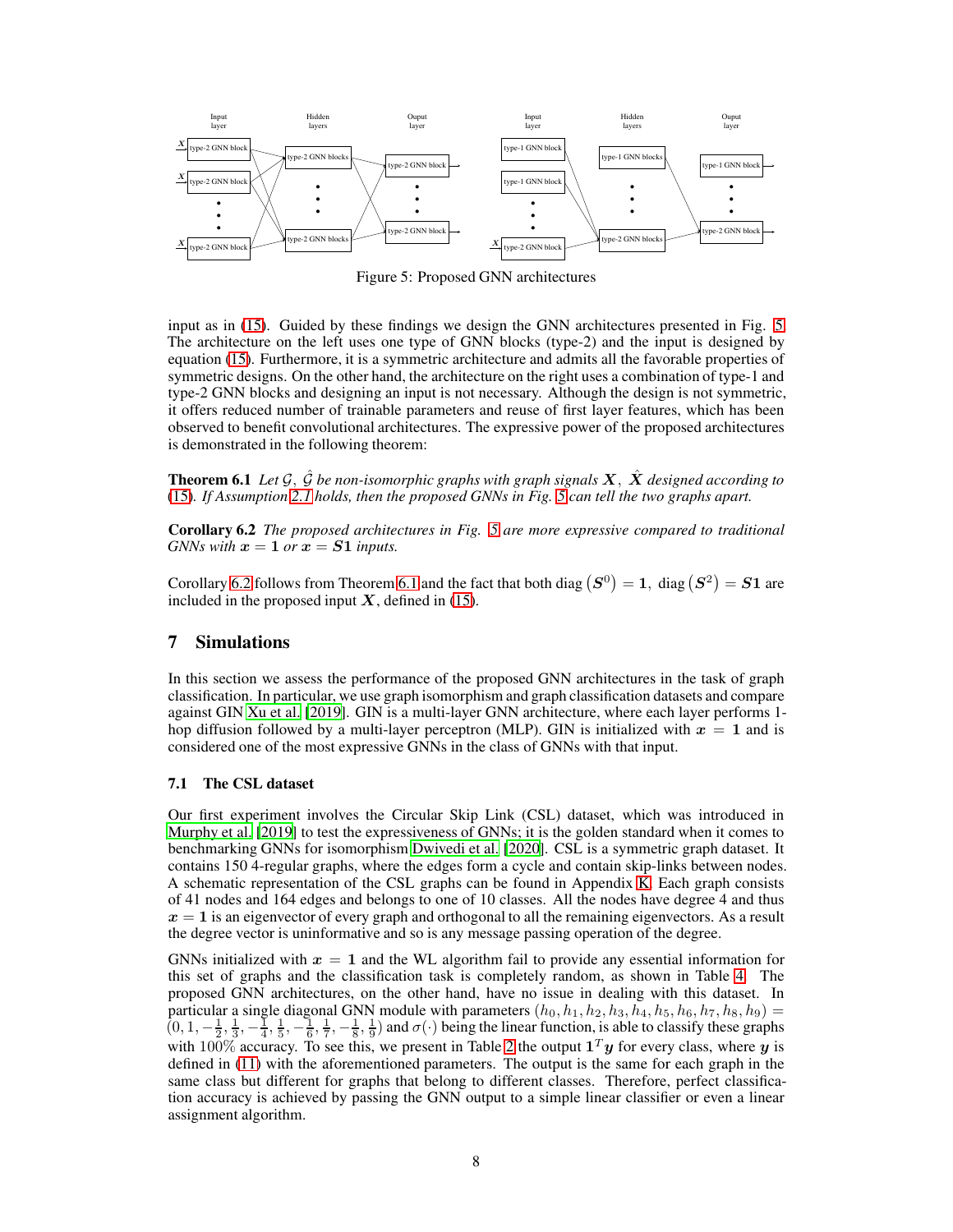<span id="page-7-0"></span>

Figure 5: Proposed GNN architectures

input as in [\(15\)](#page-6-2). Guided by these findings we design the GNN architectures presented in Fig. [5.](#page-7-0) The architecture on the left uses one type of GNN blocks (type-2) and the input is designed by equation [\(15\)](#page-6-2). Furthermore, it is a symmetric architecture and admits all the favorable properties of symmetric designs. On the other hand, the architecture on the right uses a combination of type-1 and type-2 GNN blocks and designing an input is not necessary. Although the design is not symmetric, it offers reduced number of trainable parameters and reuse of first layer features, which has been observed to benefit convolutional architectures. The expressive power of the proposed architectures is demonstrated in the following theorem:

<span id="page-7-2"></span>**Theorem 6.1** Let  $\mathcal{G}, \hat{\mathcal{G}}$  be non-isomorphic graphs with graph signals  $X, \hat{X}$  designed according to [\(15\)](#page-6-2)*. If Assumption [2.1](#page-2-1) holds, then the proposed GNNs in Fig. [5](#page-7-0) can tell the two graphs apart.*

<span id="page-7-1"></span>Corollary 6.2 *The proposed architectures in Fig. [5](#page-7-0) are more expressive compared to traditional GNNs with*  $x = 1$  *or*  $x = S1$  *inputs.* 

Corollary [6.2](#page-7-1) follows from Theorem [6.1](#page-7-2) and the fact that both diag  $(S^0) = 1$ , diag  $(S^2) = S1$  are included in the proposed input  $X$ , defined in [\(15\)](#page-6-2).

# <span id="page-7-3"></span>7 Simulations

In this section we assess the performance of the proposed GNN architectures in the task of graph classification. In particular, we use graph isomorphism and graph classification datasets and compare against GIN [Xu et al. \[2019\]](#page-11-3). GIN is a multi-layer GNN architecture, where each layer performs 1 hop diffusion followed by a multi-layer perceptron (MLP). GIN is initialized with  $x = 1$  and is considered one of the most expressive GNNs in the class of GNNs with that input.

#### 7.1 The CSL dataset

Our first experiment involves the Circular Skip Link (CSL) dataset, which was introduced in [Murphy et al. \[2019\]](#page-10-10) to test the expressiveness of GNNs; it is the golden standard when it comes to benchmarking GNNs for isomorphism [Dwivedi et al. \[2020\]](#page-9-12). CSL is a symmetric graph dataset. It contains 150 4-regular graphs, where the edges form a cycle and contain skip-links between nodes. A schematic representation of the CSL graphs can be found in Appendix [K.](#page-25-2) Each graph consists of 41 nodes and 164 edges and belongs to one of 10 classes. All the nodes have degree 4 and thus  $x = 1$  is an eigenvector of every graph and orthogonal to all the remaining eigenvectors. As a result the degree vector is uninformative and so is any message passing operation of the degree.

GNNs initialized with  $x = 1$  and the WL algorithm fail to provide any essential information for this set of graphs and the classification task is completely random, as shown in Table [4.](#page-8-0) The proposed GNN architectures, on the other hand, have no issue in dealing with this dataset. In particular a single diagonal GNN module with parameters  $(h_0, h_1, h_2, h_3, h_4, h_5, h_6, h_7, h_8, h_9)$  =  $(0, 1, -\frac{1}{2}, \frac{1}{3}, -\frac{1}{4}, \frac{1}{5}, -\frac{1}{6}, \frac{1}{7}, -\frac{1}{8}, \frac{1}{9})$  and  $\sigma(\cdot)$  being the linear function, is able to classify these graphs with 100% accuracy. To see this, we present in Table [2](#page-8-1) the output  $1<sup>T</sup>y$  for every class, where y is defined in [\(11\)](#page-5-2) with the aforementioned parameters. The output is the same for each graph in the same class but different for graphs that belong to different classes. Therefore, perfect classification accuracy is achieved by passing the GNN output to a simple linear classifier or even a linear assignment algorithm.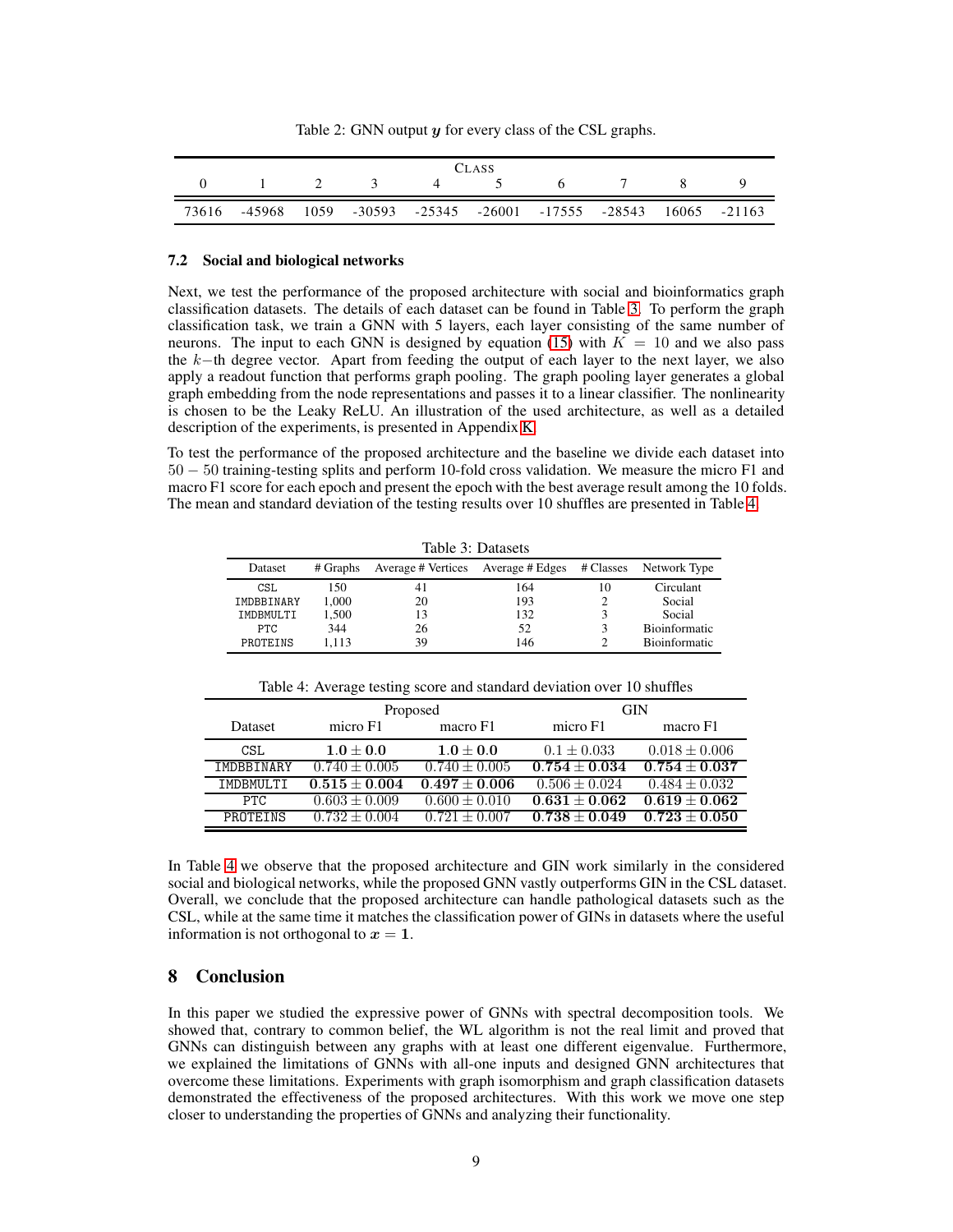|  |  |  | Table 2: GNN output $y$ for every class of the CSL graphs. |  |  |  |
|--|--|--|------------------------------------------------------------|--|--|--|
|--|--|--|------------------------------------------------------------|--|--|--|

<span id="page-8-1"></span>

| <b>CLASS</b> |  |  |               |         |  |                           |                                                             |  |  |
|--------------|--|--|---------------|---------|--|---------------------------|-------------------------------------------------------------|--|--|
|              |  |  | $1 \t 2 \t 3$ | $4$ $5$ |  | $\mathbf{h}$ $\mathbf{v}$ |                                                             |  |  |
| 73616        |  |  |               |         |  |                           | -45968 1059 -30593 -25345 -26001 -17555 -28543 16065 -21163 |  |  |

#### <span id="page-8-2"></span>7.2 Social and biological networks

Next, we test the performance of the proposed architecture with social and bioinformatics graph classification datasets. The details of each dataset can be found in Table [3.](#page-8-0) To perform the graph classification task, we train a GNN with 5 layers, each layer consisting of the same number of neurons. The input to each GNN is designed by equation [\(15\)](#page-6-2) with  $\overline{K} = 10$  and we also pass the  $k$ -th degree vector. Apart from feeding the output of each layer to the next layer, we also apply a readout function that performs graph pooling. The graph pooling layer generates a global graph embedding from the node representations and passes it to a linear classifier. The nonlinearity is chosen to be the Leaky ReLU. An illustration of the used architecture, as well as a detailed description of the experiments, is presented in Appendix [K.](#page-25-2)

<span id="page-8-0"></span>To test the performance of the proposed architecture and the baseline we divide each dataset into 50 − 50 training-testing splits and perform 10-fold cross validation. We measure the micro F1 and macro F1 score for each epoch and present the epoch with the best average result among the 10 folds. The mean and standard deviation of the testing results over 10 shuffles are presented in Table [4.](#page-8-0)

Table 3: Datasets

|            | 14010 J.Damoon |                    |                 |              |               |  |  |  |  |  |
|------------|----------------|--------------------|-----------------|--------------|---------------|--|--|--|--|--|
| Dataset    | # Graphs       | Average # Vertices | Average # Edges | # Classes    | Network Type  |  |  |  |  |  |
| CSL        | 150            | 41                 | 164             | $10^{\circ}$ | Circulant     |  |  |  |  |  |
| IMDBBINARY | 1.000          | 20                 | 193             |              | Social        |  |  |  |  |  |
| IMDBMULTI  | 1.500          |                    | 132             |              | Social        |  |  |  |  |  |
| PTC.       | 344            | 26                 | 52              |              | Bioinformatic |  |  |  |  |  |
| PROTEINS   | 1.113          | 39                 | 146             |              | Bioinformatic |  |  |  |  |  |

|                |                   | Proposed          | GIN                          |                   |  |  |
|----------------|-------------------|-------------------|------------------------------|-------------------|--|--|
| <b>Dataset</b> | micro F1          | macro F1          | micro F1                     | macro F1          |  |  |
| CSL            | $1.0\pm0.0$       | $1.0\pm0.0$       | $0.1 \pm 0.033$              | $0.018 \pm 0.006$ |  |  |
| IMDBBINARY     | $0.740 \pm 0.005$ | $0.740 \pm 0.005$ | $0.754 \pm 0.034$            | $0.754 \pm 0.037$ |  |  |
| IMDBMULTI      | $0.515 \pm 0.004$ | $0.497 + 0.006$   | $\overline{0.506} \pm 0.024$ | $0.484 + 0.032$   |  |  |
| PTC.           | $0.603 \pm 0.009$ | $0.600 + 0.010$   | $\overline{0.631} \pm 0.062$ | $0.619 + 0.062$   |  |  |
| PROTEINS       | $0.732 \pm 0.004$ | $0.721 + 0.007$   | $0.738 + 0.049$              | $0.723 + 0.050$   |  |  |

Table 4: Average testing score and standard deviation over 10 shuffles

In Table [4](#page-8-0) we observe that the proposed architecture and GIN work similarly in the considered social and biological networks, while the proposed GNN vastly outperforms GIN in the CSL dataset. Overall, we conclude that the proposed architecture can handle pathological datasets such as the CSL, while at the same time it matches the classification power of GINs in datasets where the useful information is not orthogonal to  $x = 1$ .

# 8 Conclusion

In this paper we studied the expressive power of GNNs with spectral decomposition tools. We showed that, contrary to common belief, the WL algorithm is not the real limit and proved that GNNs can distinguish between any graphs with at least one different eigenvalue. Furthermore, we explained the limitations of GNNs with all-one inputs and designed GNN architectures that overcome these limitations. Experiments with graph isomorphism and graph classification datasets demonstrated the effectiveness of the proposed architectures. With this work we move one step closer to understanding the properties of GNNs and analyzing their functionality.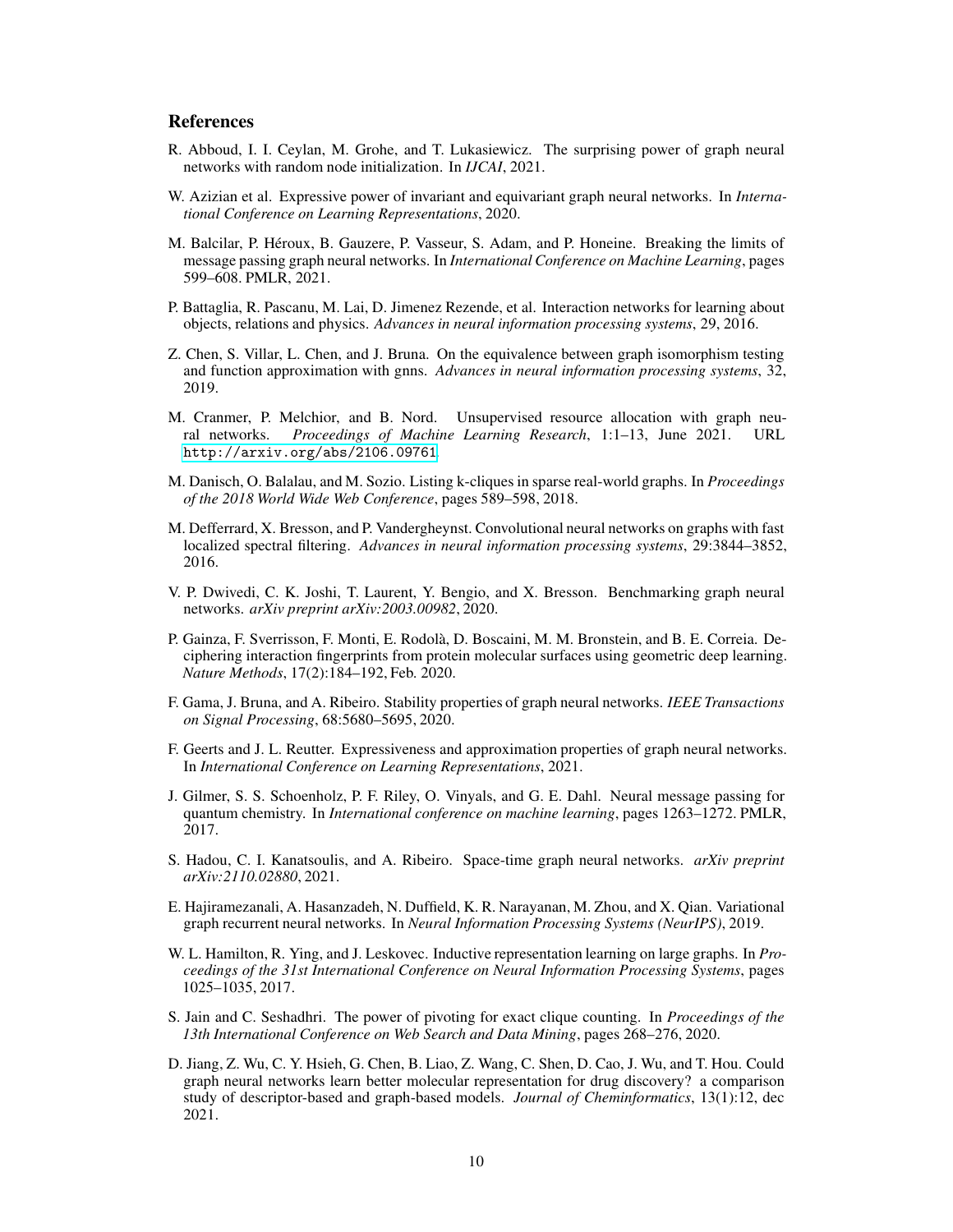# References

- <span id="page-9-5"></span>R. Abboud, I. I. Ceylan, M. Grohe, and T. Lukasiewicz. The surprising power of graph neural networks with random node initialization. In *IJCAI*, 2021.
- <span id="page-9-6"></span>W. Azizian et al. Expressive power of invariant and equivariant graph neural networks. In *International Conference on Learning Representations*, 2020.
- <span id="page-9-8"></span>M. Balcilar, P. Héroux, B. Gauzere, P. Vasseur, S. Adam, and P. Honeine. Breaking the limits of message passing graph neural networks. In *International Conference on Machine Learning*, pages 599–608. PMLR, 2021.
- <span id="page-9-13"></span>P. Battaglia, R. Pascanu, M. Lai, D. Jimenez Rezende, et al. Interaction networks for learning about objects, relations and physics. *Advances in neural information processing systems*, 29, 2016.
- <span id="page-9-9"></span>Z. Chen, S. Villar, L. Chen, and J. Bruna. On the equivalence between graph isomorphism testing and function approximation with gnns. *Advances in neural information processing systems*, 32, 2019.
- <span id="page-9-3"></span>M. Cranmer, P. Melchior, and B. Nord. Unsupervised resource allocation with graph neural networks. *Proceedings of Machine Learning Research*, 1:1–13, June 2021. URL <http://arxiv.org/abs/2106.09761>.
- <span id="page-9-10"></span>M. Danisch, O. Balalau, and M. Sozio. Listing k-cliques in sparse real-world graphs. In *Proceedings of the 2018 World Wide Web Conference*, pages 589–598, 2018.
- <span id="page-9-14"></span>M. Defferrard, X. Bresson, and P. Vandergheynst. Convolutional neural networks on graphs with fast localized spectral filtering. *Advances in neural information processing systems*, 29:3844–3852, 2016.
- <span id="page-9-12"></span>V. P. Dwivedi, C. K. Joshi, T. Laurent, Y. Bengio, and X. Bresson. Benchmarking graph neural networks. *arXiv preprint arXiv:2003.00982*, 2020.
- <span id="page-9-0"></span>P. Gainza, F. Sverrisson, F. Monti, E. Rodolà, D. Boscaini, M. M. Bronstein, and B. E. Correia. Deciphering interaction fingerprints from protein molecular surfaces using geometric deep learning. *Nature Methods*, 17(2):184–192, Feb. 2020.
- <span id="page-9-4"></span>F. Gama, J. Bruna, and A. Ribeiro. Stability properties of graph neural networks. *IEEE Transactions on Signal Processing*, 68:5680–5695, 2020.
- <span id="page-9-7"></span>F. Geerts and J. L. Reutter. Expressiveness and approximation properties of graph neural networks. In *International Conference on Learning Representations*, 2021.
- <span id="page-9-2"></span>J. Gilmer, S. S. Schoenholz, P. F. Riley, O. Vinyals, and G. E. Dahl. Neural message passing for quantum chemistry. In *International conference on machine learning*, pages 1263–1272. PMLR, 2017.
- <span id="page-9-17"></span>S. Hadou, C. I. Kanatsoulis, and A. Ribeiro. Space-time graph neural networks. *arXiv preprint arXiv:2110.02880*, 2021.
- <span id="page-9-16"></span>E. Hajiramezanali, A. Hasanzadeh, N. Duffield, K. R. Narayanan, M. Zhou, and X. Qian. Variational graph recurrent neural networks. In *Neural Information Processing Systems (NeurIPS)*, 2019.
- <span id="page-9-15"></span>W. L. Hamilton, R. Ying, and J. Leskovec. Inductive representation learning on large graphs. In *Proceedings of the 31st International Conference on Neural Information Processing Systems*, pages 1025–1035, 2017.
- <span id="page-9-11"></span>S. Jain and C. Seshadhri. The power of pivoting for exact clique counting. In *Proceedings of the 13th International Conference on Web Search and Data Mining*, pages 268–276, 2020.
- <span id="page-9-1"></span>D. Jiang, Z. Wu, C. Y. Hsieh, G. Chen, B. Liao, Z. Wang, C. Shen, D. Cao, J. Wu, and T. Hou. Could graph neural networks learn better molecular representation for drug discovery? a comparison study of descriptor-based and graph-based models. *Journal of Cheminformatics*, 13(1):12, dec 2021.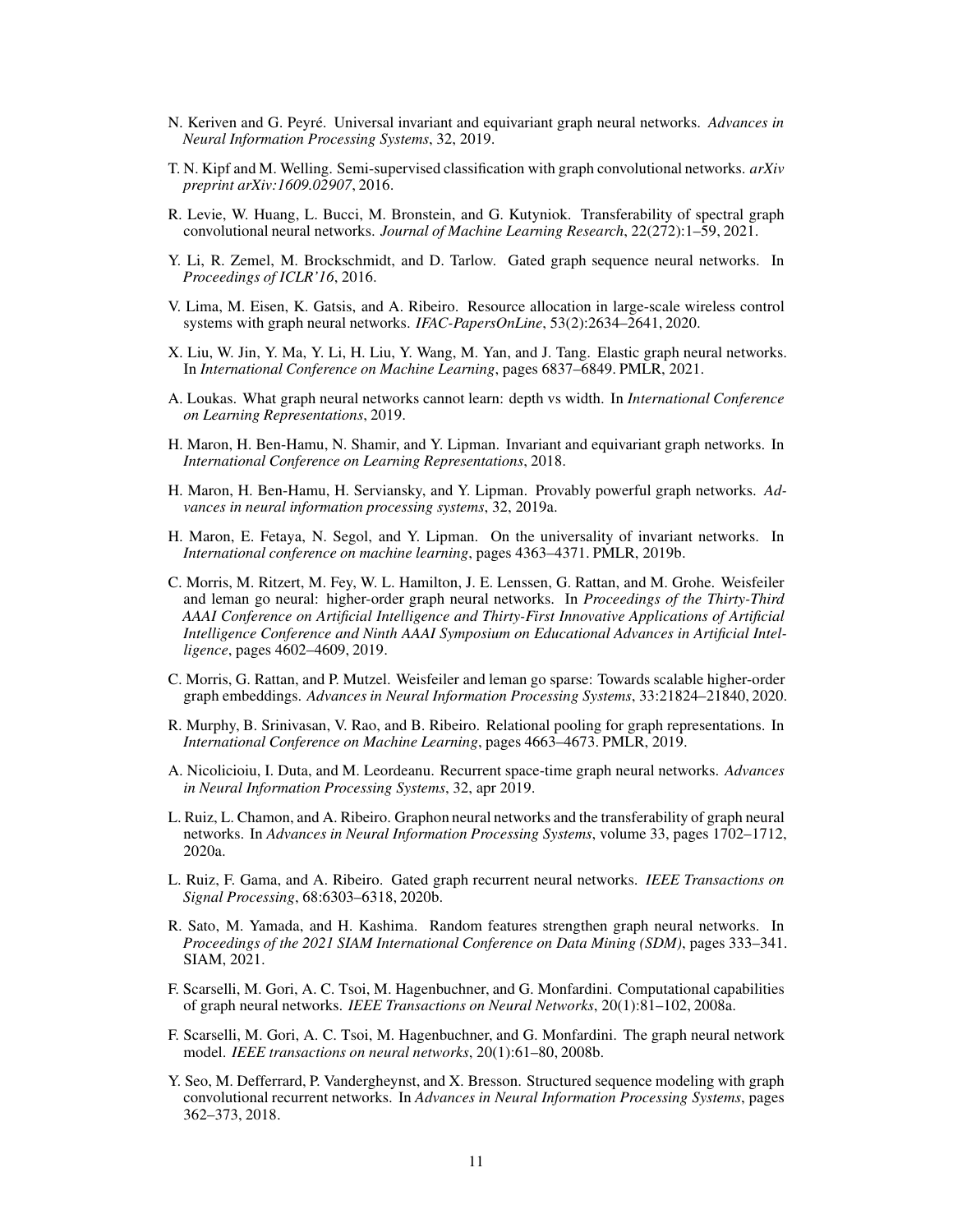- <span id="page-10-6"></span>N. Keriven and G. Peyré. Universal invariant and equivariant graph neural networks. *Advances in Neural Information Processing Systems*, 32, 2019.
- <span id="page-10-14"></span>T. N. Kipf and M. Welling. Semi-supervised classification with graph convolutional networks. *arXiv preprint arXiv:1609.02907*, 2016.
- <span id="page-10-3"></span>R. Levie, W. Huang, L. Bucci, M. Bronstein, and G. Kutyniok. Transferability of spectral graph convolutional neural networks. *Journal of Machine Learning Research*, 22(272):1–59, 2021.
- <span id="page-10-16"></span>Y. Li, R. Zemel, M. Brockschmidt, and D. Tarlow. Gated graph sequence neural networks. In *Proceedings of ICLR'16*, 2016.
- <span id="page-10-0"></span>V. Lima, M. Eisen, K. Gatsis, and A. Ribeiro. Resource allocation in large-scale wireless control systems with graph neural networks. *IFAC-PapersOnLine*, 53(2):2634–2641, 2020.
- <span id="page-10-15"></span>X. Liu, W. Jin, Y. Ma, Y. Li, H. Liu, Y. Wang, M. Yan, and J. Tang. Elastic graph neural networks. In *International Conference on Machine Learning*, pages 6837–6849. PMLR, 2021.
- <span id="page-10-12"></span>A. Loukas. What graph neural networks cannot learn: depth vs width. In *International Conference on Learning Representations*, 2019.
- <span id="page-10-1"></span>H. Maron, H. Ben-Hamu, N. Shamir, and Y. Lipman. Invariant and equivariant graph networks. In *International Conference on Learning Representations*, 2018.
- <span id="page-10-9"></span>H. Maron, H. Ben-Hamu, H. Serviansky, and Y. Lipman. Provably powerful graph networks. *Advances in neural information processing systems*, 32, 2019a.
- <span id="page-10-5"></span>H. Maron, E. Fetaya, N. Segol, and Y. Lipman. On the universality of invariant networks. In *International conference on machine learning*, pages 4363–4371. PMLR, 2019b.
- <span id="page-10-7"></span>C. Morris, M. Ritzert, M. Fey, W. L. Hamilton, J. E. Lenssen, G. Rattan, and M. Grohe. Weisfeiler and leman go neural: higher-order graph neural networks. In *Proceedings of the Thirty-Third AAAI Conference on Artificial Intelligence and Thirty-First Innovative Applications of Artificial Intelligence Conference and Ninth AAAI Symposium on Educational Advances in Artificial Intelligence*, pages 4602–4609, 2019.
- <span id="page-10-11"></span>C. Morris, G. Rattan, and P. Mutzel. Weisfeiler and leman go sparse: Towards scalable higher-order graph embeddings. *Advances in Neural Information Processing Systems*, 33:21824–21840, 2020.
- <span id="page-10-10"></span>R. Murphy, B. Srinivasan, V. Rao, and B. Ribeiro. Relational pooling for graph representations. In *International Conference on Machine Learning*, pages 4663–4673. PMLR, 2019.
- <span id="page-10-18"></span>A. Nicolicioiu, I. Duta, and M. Leordeanu. Recurrent space-time graph neural networks. *Advances in Neural Information Processing Systems*, 32, apr 2019.
- <span id="page-10-2"></span>L. Ruiz, L. Chamon, and A. Ribeiro. Graphon neural networks and the transferability of graph neural networks. In *Advances in Neural Information Processing Systems*, volume 33, pages 1702–1712, 2020a.
- <span id="page-10-19"></span>L. Ruiz, F. Gama, and A. Ribeiro. Gated graph recurrent neural networks. *IEEE Transactions on Signal Processing*, 68:6303–6318, 2020b.
- <span id="page-10-8"></span>R. Sato, M. Yamada, and H. Kashima. Random features strengthen graph neural networks. In *Proceedings of the 2021 SIAM International Conference on Data Mining (SDM)*, pages 333–341. SIAM, 2021.
- <span id="page-10-4"></span>F. Scarselli, M. Gori, A. C. Tsoi, M. Hagenbuchner, and G. Monfardini. Computational capabilities of graph neural networks. *IEEE Transactions on Neural Networks*, 20(1):81–102, 2008a.
- <span id="page-10-13"></span>F. Scarselli, M. Gori, A. C. Tsoi, M. Hagenbuchner, and G. Monfardini. The graph neural network model. *IEEE transactions on neural networks*, 20(1):61–80, 2008b.
- <span id="page-10-17"></span>Y. Seo, M. Defferrard, P. Vandergheynst, and X. Bresson. Structured sequence modeling with graph convolutional recurrent networks. In *Advances in Neural Information Processing Systems*, pages 362–373, 2018.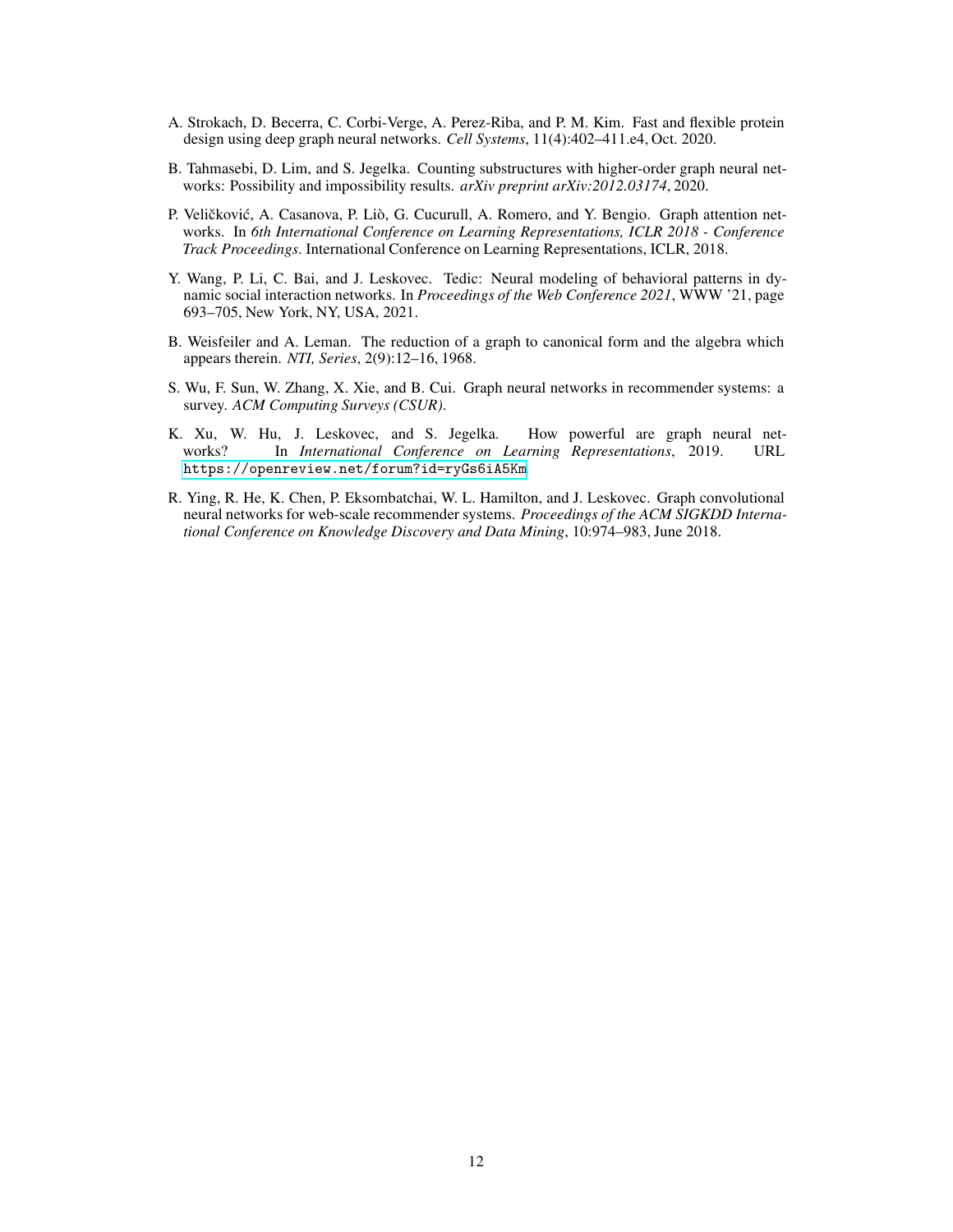- <span id="page-11-0"></span>A. Strokach, D. Becerra, C. Corbi-Verge, A. Perez-Riba, and P. M. Kim. Fast and flexible protein design using deep graph neural networks. *Cell Systems*, 11(4):402–411.e4, Oct. 2020.
- <span id="page-11-5"></span>B. Tahmasebi, D. Lim, and S. Jegelka. Counting substructures with higher-order graph neural networks: Possibility and impossibility results. *arXiv preprint arXiv:2012.03174*, 2020.
- <span id="page-11-6"></span>P. Veličković, A. Casanova, P. Liò, G. Cucurull, A. Romero, and Y. Bengio. Graph attention networks. In *6th International Conference on Learning Representations, ICLR 2018 - Conference Track Proceedings*. International Conference on Learning Representations, ICLR, 2018.
- <span id="page-11-7"></span>Y. Wang, P. Li, C. Bai, and J. Leskovec. Tedic: Neural modeling of behavioral patterns in dynamic social interaction networks. In *Proceedings of the Web Conference 2021*, WWW '21, page 693–705, New York, NY, USA, 2021.
- <span id="page-11-4"></span>B. Weisfeiler and A. Leman. The reduction of a graph to canonical form and the algebra which appears therein. *NTI, Series*, 2(9):12–16, 1968.
- <span id="page-11-2"></span>S. Wu, F. Sun, W. Zhang, X. Xie, and B. Cui. Graph neural networks in recommender systems: a survey. *ACM Computing Surveys (CSUR)*.
- <span id="page-11-3"></span>K. Xu, W. Hu, J. Leskovec, and S. Jegelka. How powerful are graph neural networks? In *International Conference on Learning Representations*, 2019. URL <https://openreview.net/forum?id=ryGs6iA5Km>.
- <span id="page-11-1"></span>R. Ying, R. He, K. Chen, P. Eksombatchai, W. L. Hamilton, and J. Leskovec. Graph convolutional neural networks for web-scale recommender systems. *Proceedings of the ACM SIGKDD International Conference on Knowledge Discovery and Data Mining*, 10:974–983, June 2018.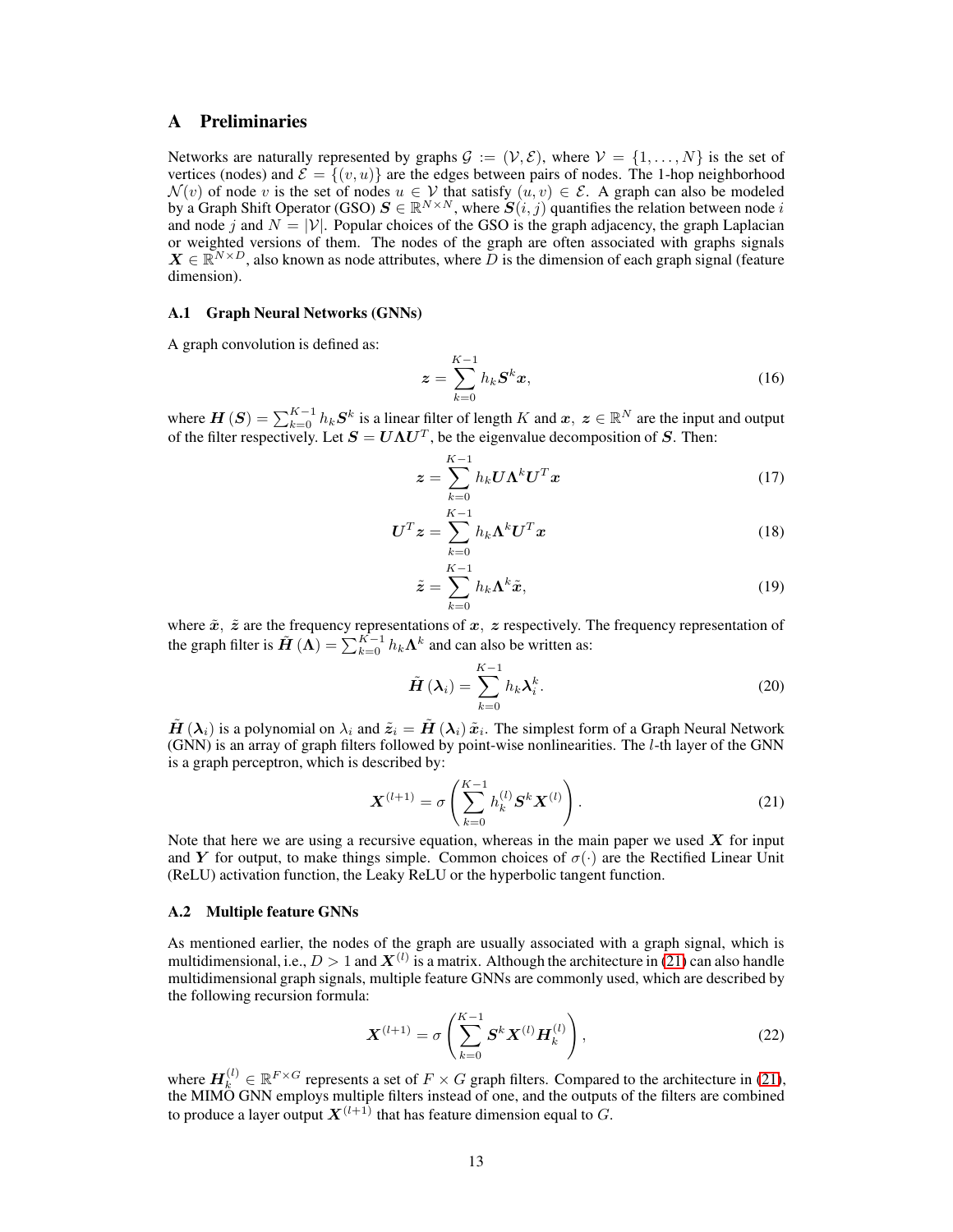# <span id="page-12-2"></span>A Preliminaries

Networks are naturally represented by graphs  $G := (\mathcal{V}, \mathcal{E})$ , where  $\mathcal{V} = \{1, ..., N\}$  is the set of vertices (nodes) and  $\mathcal{E} = \{(v, u)\}\$ are the edges between pairs of nodes. The 1-hop neighborhood  $\mathcal{N}(v)$  of node v is the set of nodes  $u \in \mathcal{V}$  that satisfy  $(u, v) \in \mathcal{E}$ . A graph can also be modeled by a Graph Shift Operator (GSO)  $S \in \mathbb{R}^{N \times N}$ , where  $S(i, j)$  quantifies the relation between node i and node j and  $N = |\mathcal{V}|$ . Popular choices of the GSO is the graph adjacency, the graph Laplacian or weighted versions of them. The nodes of the graph are often associated with graphs signals  $X \in \mathbb{R}^{N \times D}$ , also known as node attributes, where  $\overline{D}$  is the dimension of each graph signal (feature dimension).

#### A.1 Graph Neural Networks (GNNs)

A graph convolution is defined as:

$$
\boldsymbol{z} = \sum_{k=0}^{K-1} h_k \boldsymbol{S}^k \boldsymbol{x},\tag{16}
$$

where  $\bm{H}\left(\bm{S}\right) = \sum_{k=0}^{K-1} h_k \bm{S}^k$  is a linear filter of length K and  $\bm{x}, \ \bm{z} \in \mathbb{R}^N$  are the input and output of the filter respectively. Let  $S = U\Lambda U^T$ , be the eigenvalue decomposition of S. Then:

$$
\boldsymbol{z} = \sum_{k=0}^{K-1} h_k \boldsymbol{U} \boldsymbol{\Lambda}^k \boldsymbol{U}^T \boldsymbol{x}
$$
 (17)

$$
\boldsymbol{U}^T \boldsymbol{z} = \sum_{k=0}^{K-1} h_k \boldsymbol{\Lambda}^k \boldsymbol{U}^T \boldsymbol{x}
$$
 (18)

$$
\tilde{\boldsymbol{z}} = \sum_{k=0}^{K-1} h_k \boldsymbol{\Lambda}^k \tilde{\boldsymbol{x}},
$$
\n(19)

where  $\tilde{x}$ ,  $\tilde{z}$  are the frequency representations of  $x$ ,  $z$  respectively. The frequency representation of the graph filter is  $\tilde{H}(\Lambda) = \sum_{k=0}^{K-1} h_k \Lambda^k$  and can also be written as:

$$
\tilde{H}(\lambda_i) = \sum_{k=0}^{K-1} h_k \lambda_i^k.
$$
\n(20)

 $\tilde{H}(\lambda_i)$  is a polynomial on  $\lambda_i$  and  $\tilde{z}_i = \tilde{H}(\lambda_i)\tilde{x}_i$ . The simplest form of a Graph Neural Network (GNN) is an array of graph filters followed by point-wise nonlinearities. The  $l$ -th layer of the GNN is a graph perceptron, which is described by:

<span id="page-12-0"></span>
$$
\mathbf{X}^{(l+1)} = \sigma \left( \sum_{k=0}^{K-1} h_k^{(l)} \mathbf{S}^k \mathbf{X}^{(l)} \right). \tag{21}
$$

Note that here we are using a recursive equation, whereas in the main paper we used  $\boldsymbol{X}$  for input and Y for output, to make things simple. Common choices of  $\sigma(\cdot)$  are the Rectified Linear Unit (ReLU) activation function, the Leaky ReLU or the hyperbolic tangent function.

#### A.2 Multiple feature GNNs

As mentioned earlier, the nodes of the graph are usually associated with a graph signal, which is multidimensional, i.e.,  $D > 1$  and  $X^{(l)}$  is a matrix. Although the architecture in [\(21\)](#page-12-0) can also handle multidimensional graph signals, multiple feature GNNs are commonly used, which are described by the following recursion formula:

<span id="page-12-1"></span>
$$
\mathbf{X}^{(l+1)} = \sigma \left( \sum_{k=0}^{K-1} \mathbf{S}^k \mathbf{X}^{(l)} \mathbf{H}_k^{(l)} \right),\tag{22}
$$

where  $\mathbf{H}_k^{(l)} \in \mathbb{R}^{F \times G}$  represents a set of  $F \times G$  graph filters. Compared to the architecture in [\(21\)](#page-12-0), the MIMO GNN employs multiple filters instead of one, and the outputs of the filters are combined to produce a layer output  $\boldsymbol{X}^{(l+1)}$  that has feature dimension equal to  $G.$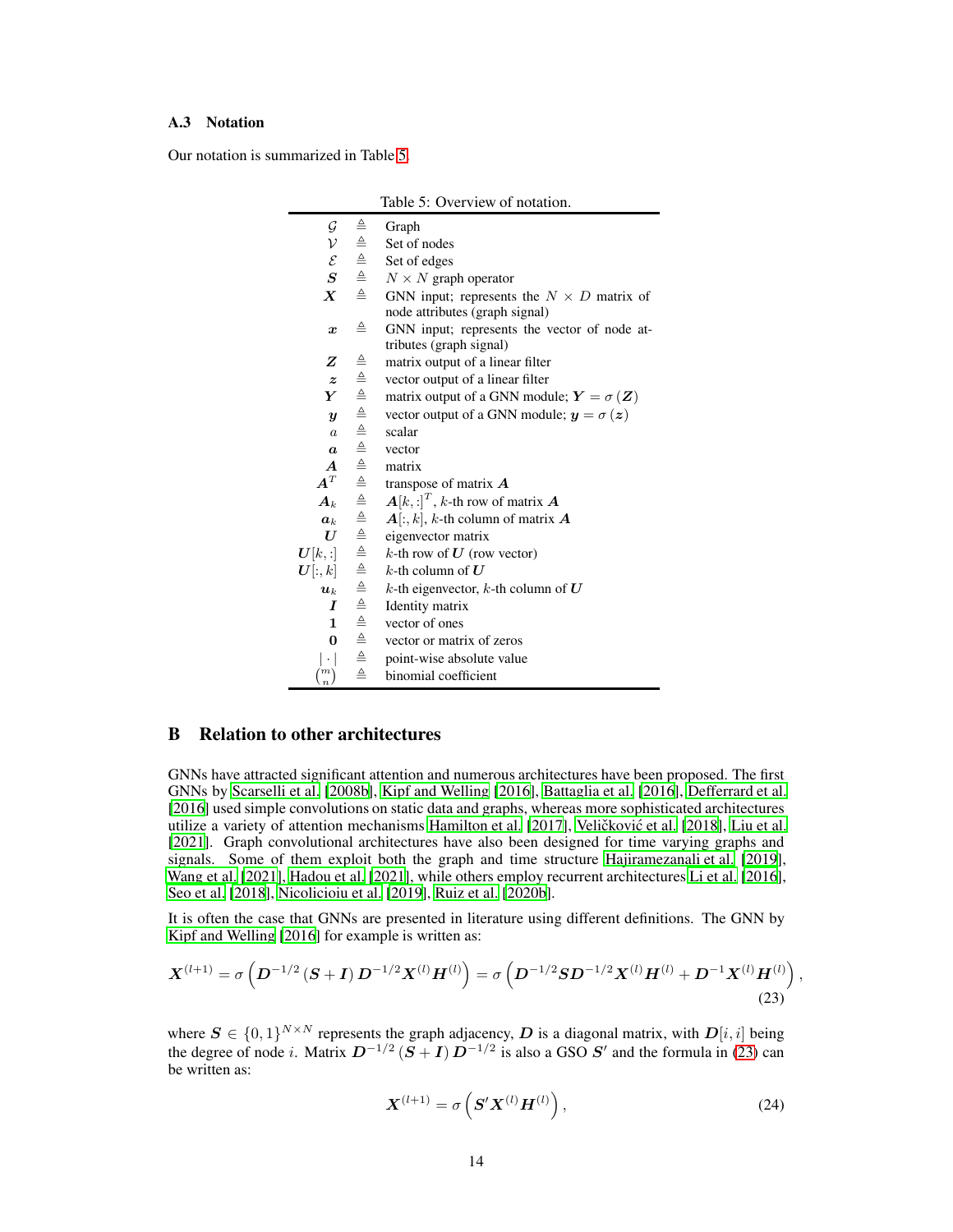#### A.3 Notation

<span id="page-13-0"></span>Our notation is summarized in Table [5.](#page-13-0)

|                       |                                     | Table 5: Overview of notation.                                                     |
|-----------------------|-------------------------------------|------------------------------------------------------------------------------------|
| $\cal G$              | $\triangleq$                        | Graph                                                                              |
| $\mathcal V$          | $\triangleq$                        | Set of nodes                                                                       |
| $\mathcal E$          |                                     | Set of edges                                                                       |
| $\boldsymbol{S}$      | $\triangleq$                        | $N \times N$ graph operator                                                        |
| $\boldsymbol{X}$      | $\triangleq$                        | GNN input; represents the $N \times D$ matrix of<br>node attributes (graph signal) |
| $\boldsymbol{x}$      | $\triangleq$                        | GNN input; represents the vector of node at-<br>tributes (graph signal)            |
| Z                     | $\triangleq$                        | matrix output of a linear filter                                                   |
| $\boldsymbol{z}$      |                                     | vector output of a linear filter                                                   |
| Y                     |                                     | matrix output of a GNN module; $Y = \sigma(Z)$                                     |
| $\boldsymbol{y}$      |                                     | vector output of a GNN module; $y = \sigma(z)$                                     |
| $\overline{a}$        |                                     | scalar                                                                             |
| $\boldsymbol{a}$      |                                     | vector                                                                             |
| $\boldsymbol{A}$      |                                     | matrix                                                                             |
| $\bm{A}^T$            |                                     | transpose of matrix $\boldsymbol{A}$                                               |
| $A_k$                 |                                     | $\mathbf{A}[k,:]^T$ , k-th row of matrix $\mathbf{A}$                              |
| $a_k$                 |                                     | $A[:, k], k$ -th column of matrix $A$                                              |
| $\bm{U}$              |                                     | eigenvector matrix                                                                 |
| $\boldsymbol{U}[k,:]$ |                                     | k-th row of $U$ (row vector)                                                       |
| $\bm{U}[:,k]$         |                                     | k-th column of $U$                                                                 |
| $\boldsymbol{u}_k$    |                                     | k-th eigenvector, k-th column of $U$                                               |
| I                     |                                     | Identity matrix                                                                    |
| $\mathbf{1}$          | 에 데 데 데 데 데 데 데 데 데 데 데 데 데 데 데 데 데 | vector of ones                                                                     |
| $\bf{0}$              |                                     | vector or matrix of zeros                                                          |
| $ \cdot $             |                                     | point-wise absolute value                                                          |
| $\binom{m}{n}$        | $\triangleq$                        | binomial coefficient                                                               |

# B Relation to other architectures

GNNs have attracted significant attention and numerous architectures have been proposed. The first GNNs by [Scarselli et al.](#page-10-13) [\[2008b\]](#page-10-13), [Kipf and Welling](#page-10-14) [\[2016\]](#page-10-14), [Battaglia et al. \[2016\]](#page-9-13), [Defferrard et al.](#page-9-14) [\[2016\]](#page-9-14) used simple convolutions on static data and graphs, whereas more sophisticated architectures utilize a variety of attention mechanisms [Hamilton et al.](#page-9-15) [\[2017\]](#page-9-15), Veličković et al. [\[2018](#page-11-6)], [Liu et al.](#page-10-15) [\[2021\]](#page-10-15). Graph convolutional architectures have also been designed for time varying graphs and signals. Some of them exploit both the graph and time structure [Hajiramezanali et al.](#page-9-16) [\[2019\]](#page-9-16), [Wang et al. \[2021\]](#page-11-7), [Hadou et al. \[2021](#page-9-17)], while others employ recurrent architectures [Li et al.](#page-10-16) [\[2016\]](#page-10-16), [Seo et al.](#page-10-17) [\[2018\]](#page-10-17), [Nicolicioiu et al. \[2019\]](#page-10-18), [Ruiz et al. \[2020b](#page-10-19)].

It is often the case that GNNs are presented in literature using different definitions. The GNN by [Kipf and Welling](#page-10-14) [\[2016\]](#page-10-14) for example is written as:

$$
\boldsymbol{X}^{(l+1)} = \sigma\left(\boldsymbol{D}^{-1/2}\left(\boldsymbol{S}+\boldsymbol{I}\right)\boldsymbol{D}^{-1/2}\boldsymbol{X}^{(l)}\boldsymbol{H}^{(l)}\right) = \sigma\left(\boldsymbol{D}^{-1/2}\boldsymbol{S}\boldsymbol{D}^{-1/2}\boldsymbol{X}^{(l)}\boldsymbol{H}^{(l)} + \boldsymbol{D}^{-1}\boldsymbol{X}^{(l)}\boldsymbol{H}^{(l)}\right),\tag{23}
$$

where  $S \in \{0,1\}^{N \times N}$  represents the graph adjacency, D is a diagonal matrix, with  $D[i, i]$  being the degree of node *i*. Matrix  $D^{-1/2}$   $(S + I)$   $D^{-1/2}$  is also a GSO  $S'$  and the formula in [\(23\)](#page-13-1) can be written as:

<span id="page-13-1"></span>
$$
\boldsymbol{X}^{(l+1)} = \sigma\left(\boldsymbol{S}'\boldsymbol{X}^{(l)}\boldsymbol{H}^{(l)}\right),\tag{24}
$$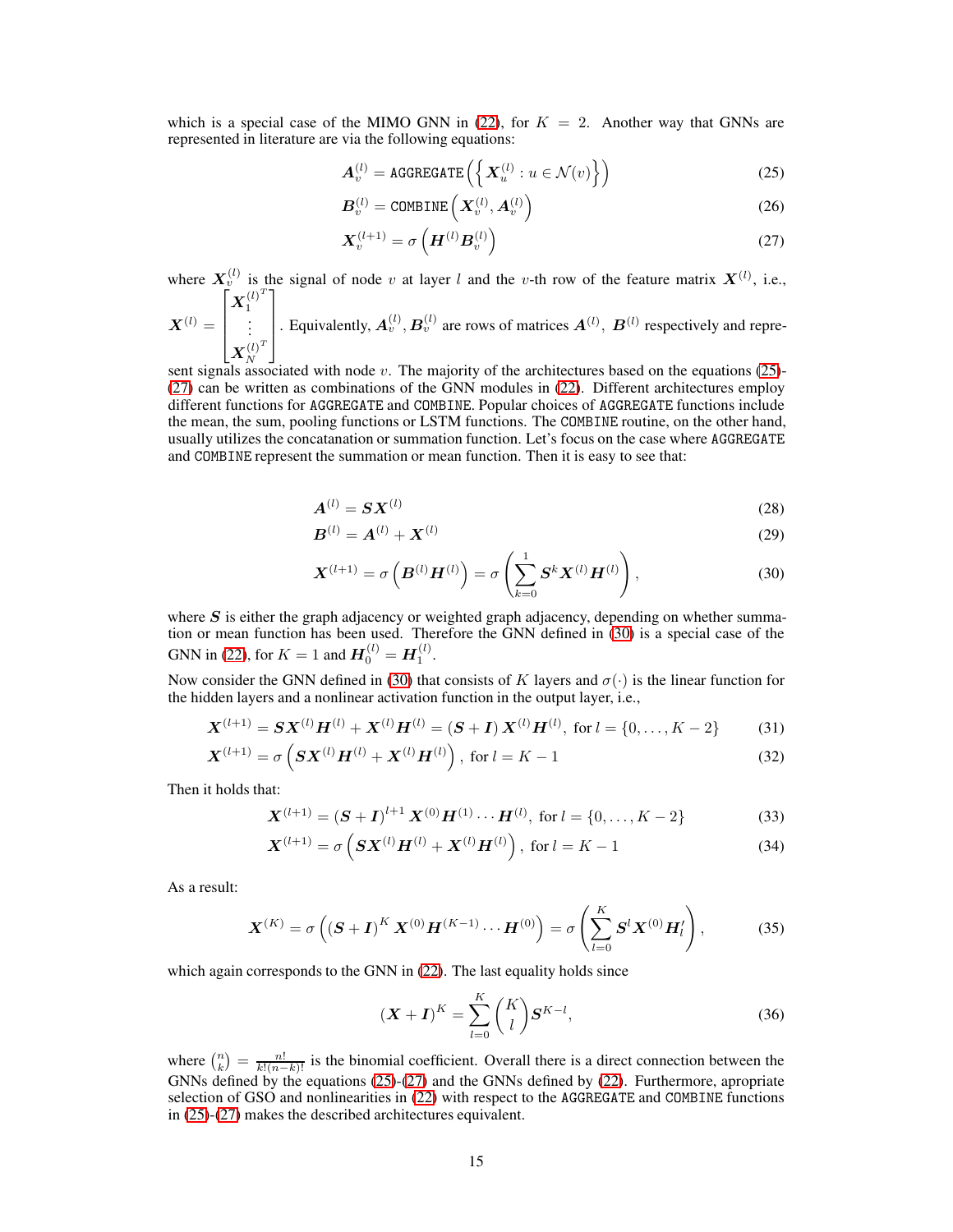which is a special case of the MIMO GNN in [\(22\)](#page-12-1), for  $K = 2$ . Another way that GNNs are represented in literature are via the following equations:

<span id="page-14-0"></span>
$$
\boldsymbol{A}_v^{(l)} = \text{AGGREGATE}\left(\left\{\boldsymbol{X}_u^{(l)} : u \in \mathcal{N}(v)\right\}\right) \tag{25}
$$

<span id="page-14-1"></span>
$$
B_v^{(l)} = \text{COMBINE}\left(X_v^{(l)}, A_v^{(l)}\right) \tag{26}
$$

$$
\mathbf{X}_v^{(l+1)} = \sigma\left(\mathbf{H}^{(l)}\mathbf{B}_v^{(l)}\right) \tag{27}
$$

where  $X_v^{(l)}$  is the signal of node v at layer l and the v-th row of the feature matrix  $X^{(l)}$ , i.e.,  $\left[ \boldsymbol{X}_{1}^{\left( l\right) ^{T}}\right]$ 

$$
\boldsymbol{X}^{(l)} = \begin{bmatrix} \boldsymbol{X}_1 \\ \vdots \\ \boldsymbol{X}_N^{(l)^T} \end{bmatrix}
$$
. Equivalently,  $\boldsymbol{A}_v^{(l)}, \boldsymbol{B}_v^{(l)}$  are rows of matrices  $\boldsymbol{A}^{(l)}, \boldsymbol{B}^{(l)}$  respectively and repre-

 $\begin{bmatrix} X_N^{(t)} \end{bmatrix}$ <br>sent signals associated with node v. The majority of the architectures based on the equations [\(25\)](#page-14-0)-[\(27\)](#page-14-1) can be written as combinations of the GNN modules in [\(22\)](#page-12-1). Different architectures employ different functions for AGGREGATE and COMBINE. Popular choices of AGGREGATE functions include the mean, the sum, pooling functions or LSTM functions. The COMBINE routine, on the other hand, usually utilizes the concatanation or summation function. Let's focus on the case where AGGREGATE and COMBINE represent the summation or mean function. Then it is easy to see that:

$$
\mathbf{A}^{(l)} = \mathbf{S} \mathbf{X}^{(l)} \tag{28}
$$

<span id="page-14-2"></span>
$$
B^{(l)} = A^{(l)} + X^{(l)}
$$
(29)

$$
\mathbf{X}^{(l+1)} = \sigma\left(\mathbf{B}^{(l)}\mathbf{H}^{(l)}\right) = \sigma\left(\sum_{k=0}^{1} \mathbf{S}^{k} \mathbf{X}^{(l)} \mathbf{H}^{(l)}\right),\tag{30}
$$

where  $S$  is either the graph adjacency or weighted graph adjacency, depending on whether summation or mean function has been used. Therefore the GNN defined in [\(30\)](#page-14-2) is a special case of the GNN in [\(22\)](#page-12-1), for  $K = 1$  and  $\mathbf{H}_0^{(l)} = \mathbf{H}_1^{(l)}$ .

Now consider the GNN defined in [\(30\)](#page-14-2) that consists of K layers and  $\sigma(\cdot)$  is the linear function for the hidden layers and a nonlinear activation function in the output layer, i.e.,

$$
\mathbf{X}^{(l+1)} = \mathbf{S}\mathbf{X}^{(l)}\mathbf{H}^{(l)} + \mathbf{X}^{(l)}\mathbf{H}^{(l)} = (\mathbf{S} + \mathbf{I})\mathbf{X}^{(l)}\mathbf{H}^{(l)}, \text{ for } l = \{0, ..., K - 2\}
$$
(31)

$$
\mathbf{X}^{(l+1)} = \sigma \left( \mathbf{S} \mathbf{X}^{(l)} \mathbf{H}^{(l)} + \mathbf{X}^{(l)} \mathbf{H}^{(l)} \right), \text{ for } l = K - 1 \tag{32}
$$

Then it holds that:

$$
\mathbf{X}^{(l+1)} = (\mathbf{S} + \mathbf{I})^{l+1} \mathbf{X}^{(0)} \mathbf{H}^{(1)} \cdots \mathbf{H}^{(l)}, \text{ for } l = \{0, \ldots, K-2\}
$$
 (33)

$$
\mathbf{X}^{(l+1)} = \sigma \left( \mathbf{S} \mathbf{X}^{(l)} \mathbf{H}^{(l)} + \mathbf{X}^{(l)} \mathbf{H}^{(l)} \right), \text{ for } l = K - 1 \tag{34}
$$

As a result:

$$
\boldsymbol{X}^{(K)} = \sigma\left( (\boldsymbol{S} + \boldsymbol{I})^{K} \, \boldsymbol{X}^{(0)} \boldsymbol{H}^{(K-1)} \cdots \boldsymbol{H}^{(0)} \right) = \sigma\left( \sum_{l=0}^{K} \boldsymbol{S}^{l} \boldsymbol{X}^{(0)} \boldsymbol{H}_{l}^{l} \right),\tag{35}
$$

which again corresponds to the GNN in  $(22)$ . The last equality holds since

$$
(\mathbf{X} + \mathbf{I})^K = \sum_{l=0}^K \binom{K}{l} \mathbf{S}^{K-l},\tag{36}
$$

where  $\binom{n}{k} = \frac{n!}{k!(n-k)!}$  is the binomial coefficient. Overall there is a direct connection between the GNNs defined by the equations [\(25\)](#page-14-0)-[\(27\)](#page-14-1) and the GNNs defined by [\(22\)](#page-12-1). Furthermore, apropriate selection of GSO and nonlinearities in [\(22\)](#page-12-1) with respect to the AGGREGATE and COMBINE functions in [\(25\)](#page-14-0)-[\(27\)](#page-14-1) makes the described architectures equivalent.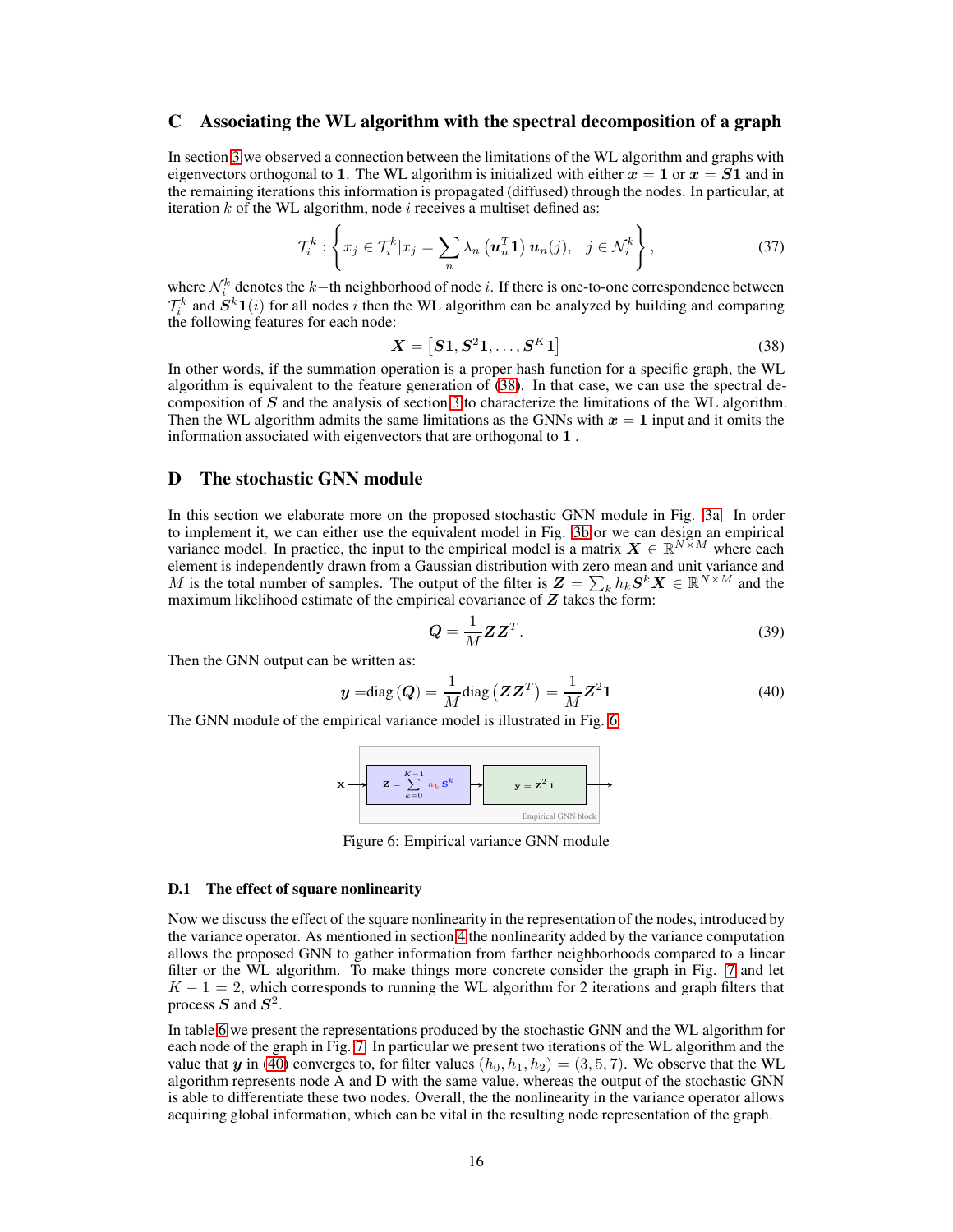# <span id="page-15-0"></span>C Associating the WL algorithm with the spectral decomposition of a graph

In section [3](#page-3-1) we observed a connection between the limitations of the WL algorithm and graphs with eigenvectors orthogonal to 1. The WL algorithm is initialized with either  $x = 1$  or  $x = S1$  and in the remaining iterations this information is propagated (diffused) through the nodes. In particular, at iteration  $k$  of the WL algorithm, node  $i$  receives a multiset defined as:

$$
\mathcal{T}_i^k: \left\{ x_j \in \mathcal{T}_i^k | x_j = \sum_n \lambda_n \left( \mathbf{u}_n^T \mathbf{1} \right) \mathbf{u}_n(j), \quad j \in \mathcal{N}_i^k \right\},\tag{37}
$$

where  $\mathcal{N}_i^k$  denotes the k-th neighborhood of node i. If there is one-to-one correspondence between  $\mathcal{T}_i^k$  and  $\dot{S}^k1(i)$  for all nodes i then the WL algorithm can be analyzed by building and comparing the following features for each node:

<span id="page-15-2"></span>
$$
\boldsymbol{X} = \left[ \boldsymbol{S1}, \boldsymbol{S^2 1}, \dots, \boldsymbol{S^K 1} \right] \tag{38}
$$

In other words, if the summation operation is a proper hash function for a specific graph, the WL algorithm is equivalent to the feature generation of [\(38\)](#page-15-2). In that case, we can use the spectral decomposition of  $S$  and the analysis of section [3](#page-3-1) to characterize the limitations of the WL algorithm. Then the WL algorithm admits the same limitations as the GNNs with  $x = 1$  input and it omits the information associated with eigenvectors that are orthogonal to 1 .

# <span id="page-15-1"></span>D The stochastic GNN module

In this section we elaborate more on the proposed stochastic GNN module in Fig. [3a.](#page-4-2) In order to implement it, we can either use the equivalent model in Fig. [3b](#page-4-2) or we can design an empirical variance model. In practice, the input to the empirical model is a matrix  $X \in \mathbb{R}^{N \times M}$  where each element is independently drawn from a Gaussian distribution with zero mean and unit variance and M is the total number of samples. The output of the filter is  $\mathbf{Z} = \sum_{k} h_k \mathbf{S}^k \mathbf{X} \in \mathbb{R}^{N \times M}$  and the maximum likelihood estimate of the empirical covariance of  $Z$  takes the form:

<span id="page-15-4"></span>
$$
Q = \frac{1}{M} Z Z^T.
$$
 (39)

Then the GNN output can be written as:

$$
\mathbf{y} = \text{diag}\left(\mathbf{Q}\right) = \frac{1}{M} \text{diag}\left(\mathbf{Z}\mathbf{Z}^T\right) = \frac{1}{M} \mathbf{Z}^2 \mathbf{1}
$$
\n<sup>(40)</sup>

<span id="page-15-3"></span>The GNN module of the empirical variance model is illustrated in Fig. [6.](#page-15-3)



Figure 6: Empirical variance GNN module

#### D.1 The effect of square nonlinearity

Now we discuss the effect of the square nonlinearity in the representation of the nodes, introduced by the variance operator. As mentioned in section [4](#page-4-4) the nonlinearity added by the variance computation allows the proposed GNN to gather information from farther neighborhoods compared to a linear filter or the WL algorithm. To make things more concrete consider the graph in Fig. [7](#page-16-0) and let  $K - 1 = 2$ , which corresponds to running the WL algorithm for 2 iterations and graph filters that process  $S$  and  $S^2$ .

In table [6](#page-16-1) we present the representations produced by the stochastic GNN and the WL algorithm for each node of the graph in Fig. [7.](#page-16-0) In particular we present two iterations of the WL algorithm and the value that y in [\(40\)](#page-15-4) converges to, for filter values  $(h_0, h_1, h_2) = (3, 5, 7)$ . We observe that the WL algorithm represents node A and D with the same value, whereas the output of the stochastic GNN is able to differentiate these two nodes. Overall, the the nonlinearity in the variance operator allows acquiring global information, which can be vital in the resulting node representation of the graph.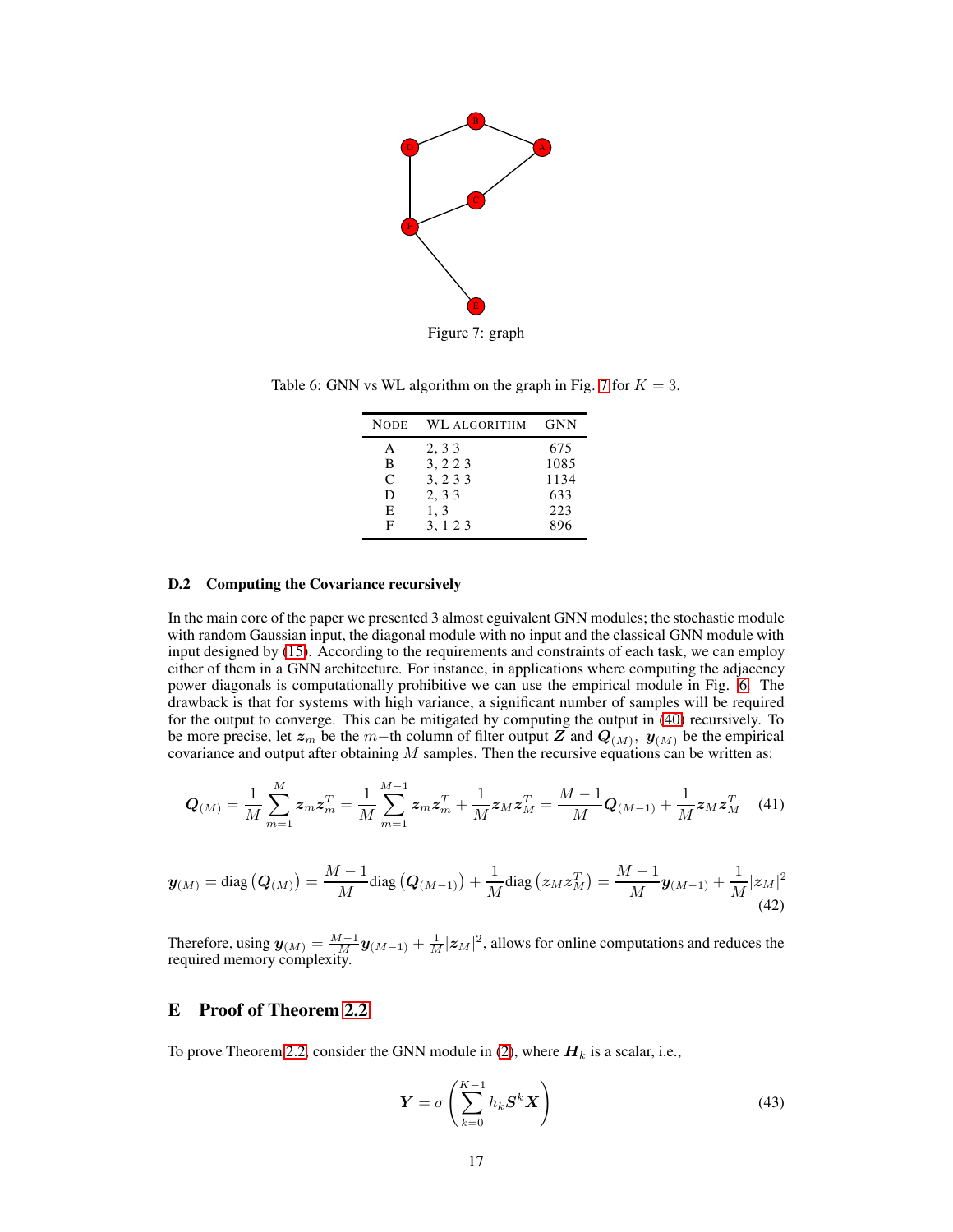<span id="page-16-0"></span>

<span id="page-16-1"></span>Table 6: GNN vs WL algorithm on the graph in Fig. [7](#page-16-0) for  $K = 3$ .

| <b>NODE</b> | WL ALGORITHM | GNN  |
|-------------|--------------|------|
| A           | 2, 3 3       | 675  |
| B           | 3, 2 2 3     | 1085 |
| C           | 3, 2 3 3     | 1134 |
| D           | 2, 3 3       | 633  |
| E           | 1, 3         | 223  |
| F           | 3.123        | 896  |

#### D.2 Computing the Covariance recursively

In the main core of the paper we presented 3 almost eguivalent GNN modules; the stochastic module with random Gaussian input, the diagonal module with no input and the classical GNN module with input designed by [\(15\)](#page-6-2). According to the requirements and constraints of each task, we can employ either of them in a GNN architecture. For instance, in applications where computing the adjacency power diagonals is computationally prohibitive we can use the empirical module in Fig. [6.](#page-15-3) The drawback is that for systems with high variance, a significant number of samples will be required for the output to converge. This can be mitigated by computing the output in [\(40\)](#page-15-4) recursively. To be more precise, let  $z_m$  be the m−th column of filter output Z and  $Q_{(M)}$ ,  $y_{(M)}$  be the empirical covariance and output after obtaining  $M$  samples. Then the recursive equations can be written as:

$$
\mathbf{Q}_{(M)} = \frac{1}{M} \sum_{m=1}^{M} z_m z_m^T = \frac{1}{M} \sum_{m=1}^{M-1} z_m z_m^T + \frac{1}{M} z_M z_M^T = \frac{M-1}{M} \mathbf{Q}_{(M-1)} + \frac{1}{M} z_M z_M^T \quad (41)
$$

$$
\boldsymbol{y}_{(M)} = \text{diag}(\boldsymbol{Q}_{(M)}) = \frac{M-1}{M}\text{diag}(\boldsymbol{Q}_{(M-1)}) + \frac{1}{M}\text{diag}(\boldsymbol{z}_M\boldsymbol{z}_M^T) = \frac{M-1}{M}\boldsymbol{y}_{(M-1)} + \frac{1}{M}|\boldsymbol{z}_M|^2
$$
\n(42)

Therefore, using  $y_{(M)} = \frac{M-1}{M} y_{(M-1)} + \frac{1}{M} |z_M|^2$ , allows for online computations and reduces the required memory complexity.

# <span id="page-16-2"></span>E Proof of Theorem [2.2](#page-2-3)

To prove Theorem [2.2,](#page-2-3) consider the GNN module in [\(2\)](#page-2-2), where  $H_k$  is a scalar, i.e.,

$$
\boldsymbol{Y} = \sigma \left( \sum_{k=0}^{K-1} h_k \boldsymbol{S}^k \boldsymbol{X} \right) \tag{43}
$$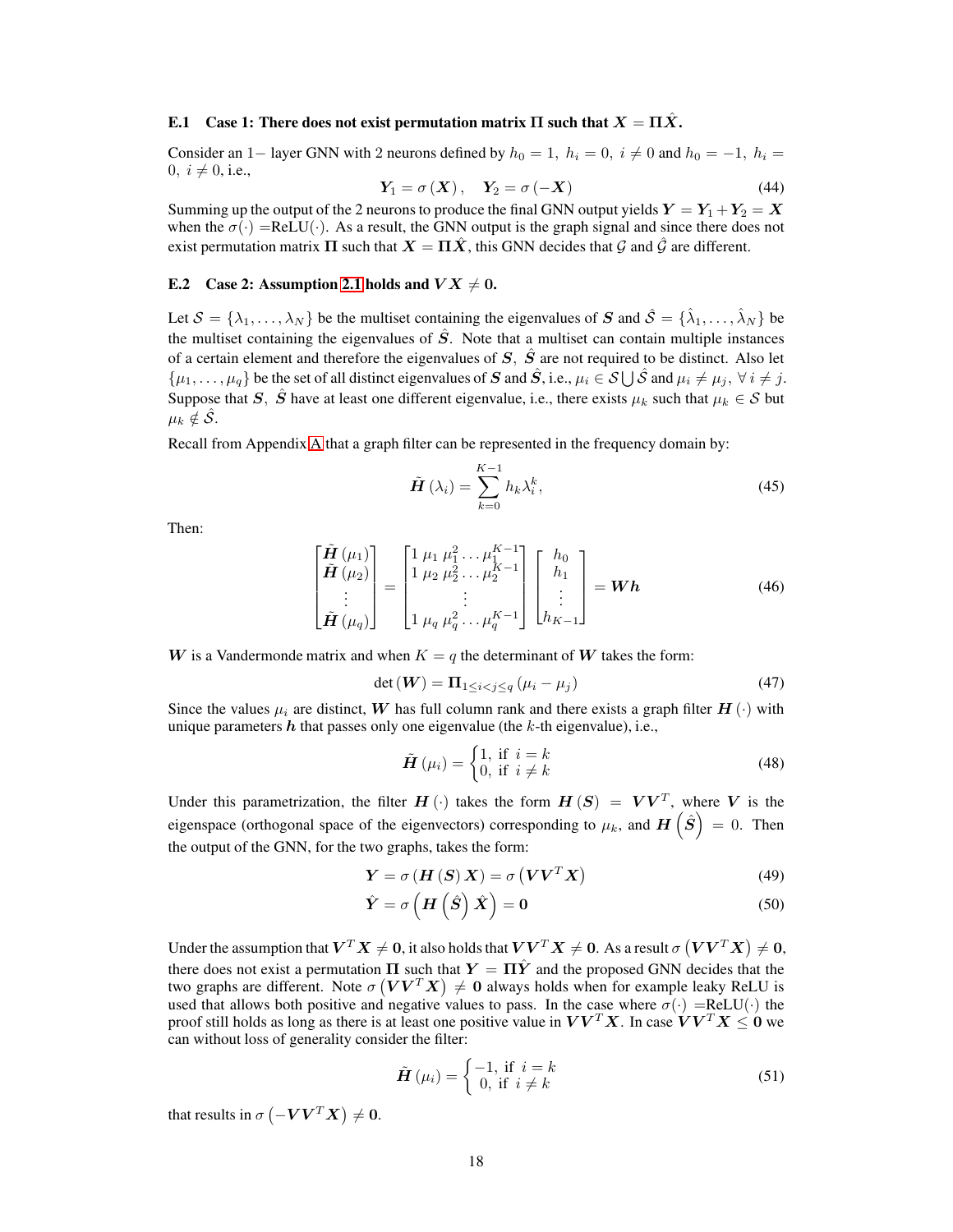#### <span id="page-17-0"></span>E.1 Case 1: There does not exist permutation matrix  $\Pi$  such that  $X = \Pi \ddot{X}$ .

Consider an 1– layer GNN with 2 neurons defined by  $h_0 = 1$ ,  $h_i = 0$ ,  $i \neq 0$  and  $h_0 = -1$ ,  $h_i =$ 0,  $i \neq 0$ , i.e.,

$$
Y_1 = \sigma(X), \quad Y_2 = \sigma(-X) \tag{44}
$$

Summing up the output of the 2 neurons to produce the final GNN output yields  $Y = Y_1 + Y_2 = X$ when the  $\sigma(\cdot) = ReLU(\cdot)$ . As a result, the GNN output is the graph signal and since there does not exist permutation matrix  $\Pi$  such that  $X = \Pi \hat{X}$ , this GNN decides that  $\hat{G}$  and  $\hat{G}$  are different.

# E.2 Case 2: Assumption [2.1](#page-2-1) holds and  $V X \neq 0$ .

Let  $S = \{\lambda_1, \dots, \lambda_N\}$  be the multiset containing the eigenvalues of  $S$  and  $\hat{S} = \{\hat{\lambda}_1, \dots, \hat{\lambda}_N\}$  be the multiset containing the eigenvalues of  $\hat{S}$ . Note that a multiset can contain multiple instances of a certain element and therefore the eigenvalues of  $S$ ,  $\hat{S}$  are not required to be distinct. Also let  $\{\mu_1,\ldots,\mu_q\}$  be the set of all distinct eigenvalues of  $S$  and  $\hat{S}$ , i.e.,  $\mu_i \in S \cup \hat{S}$  and  $\mu_i \neq \mu_j, \forall i \neq j$ . Suppose that S,  $\hat{S}$  have at least one different eigenvalue, i.e., there exists  $\mu_k$  such that  $\mu_k \in S$  but  $\mu_k \notin \hat{\mathcal{S}}.$ 

Recall from Appendix [A](#page-12-2) that a graph filter can be represented in the frequency domain by:

$$
\tilde{H}\left(\lambda_{i}\right) = \sum_{k=0}^{K-1} h_{k} \lambda_{i}^{k},\tag{45}
$$

Then:

$$
\begin{bmatrix}\n\tilde{H}(\mu_1) \\
\tilde{H}(\mu_2) \\
\vdots \\
\tilde{H}(\mu_q)\n\end{bmatrix} =\n\begin{bmatrix}\n1 & \mu_1 & \mu_1^2 & \dots & \mu_1^{K-1} \\
1 & \mu_2 & \mu_2^2 & \dots & \mu_2^{K-1} \\
\vdots & \vdots & \ddots & \vdots \\
1 & \mu_q & \mu_q^2 & \dots & \mu_q^{K-1}\n\end{bmatrix}\n\begin{bmatrix}\nh_0 \\
h_1 \\
\vdots \\
h_{K-1}\n\end{bmatrix} = \mathbf{W}\mathbf{h}
$$
\n(46)

W is a Vandermonde matrix and when  $K = q$  the determinant of W takes the form:

$$
\det\left(\mathbf{W}\right) = \mathbf{\Pi}_{1 \leq i < j \leq q} \left(\mu_i - \mu_j\right) \tag{47}
$$

Since the values  $\mu_i$  are distinct, W has full column rank and there exists a graph filter  $H(\cdot)$  with unique parameters  $h$  that passes only one eigenvalue (the  $k$ -th eigenvalue), i.e.,

$$
\tilde{H}(\mu_i) = \begin{cases} 1, & \text{if } i = k \\ 0, & \text{if } i \neq k \end{cases}
$$
 (48)

Under this parametrization, the filter  $H(\cdot)$  takes the form  $H(S) = VV^{T}$ , where V is the eigenspace (orthogonal space of the eigenvectors) corresponding to  $\mu_k$ , and  $\bm{H}\left(\hat{\bm{S}}\right)\,=\,0.$  Then the output of the GNN, for the two graphs, takes the form:

$$
Y = \sigma(H(S) X) = \sigma(VV^{T} X)
$$
\n(49)

$$
\hat{Y} = \sigma \left( H \left( \hat{S} \right) \hat{X} \right) = 0 \tag{50}
$$

Under the assumption that  $\bm{V}^T\bm{X}\neq\bm{0},$  it also holds that  $\bm{V}\bm{V}^T\bm{X}\neq\bm{0}.$  As a result  $\sigma\left(\bm{V}\bm{V}^T\bm{X}\right)\neq\bm{0},$ there does not exist a permutation  $\Pi$  such that  $Y = \Pi \hat{Y}$  and the proposed GNN decides that the two graphs are different. Note  $\sigma(VV^TX) \neq 0$  always holds when for example leaky ReLU is used that allows both positive and negative values to pass. In the case where  $\sigma(\cdot)$  =ReLU( $\cdot$ ) the proof still holds as long as there is at least one positive value in  $VV^{T}X$ . In case  $VV^{T}X \leq 0$  we can without loss of generality consider the filter:

<span id="page-17-1"></span>
$$
\tilde{H}(\mu_i) = \begin{cases} -1, & \text{if } i = k \\ 0, & \text{if } i \neq k \end{cases}
$$
 (51)

that results in  $\sigma(-\boldsymbol{V}\boldsymbol{V}^T\boldsymbol{X}) \neq \boldsymbol{0}$ .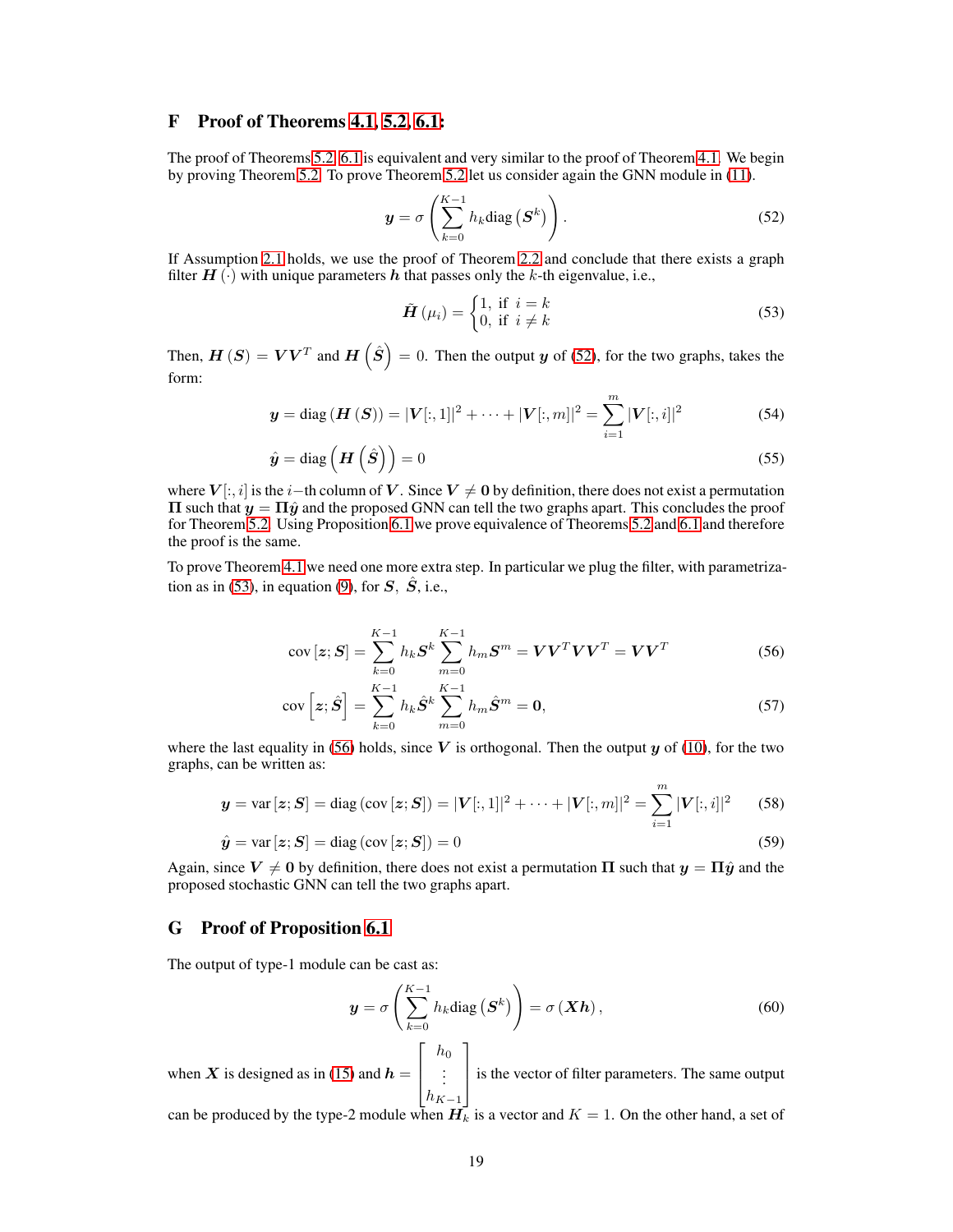# <span id="page-18-3"></span>F Proof of Theorems [4.1,](#page-4-5) [5.2,](#page-6-3) [6.1:](#page-7-2)

The proof of Theorems [5.2,](#page-6-3) [6.1](#page-7-2) is equivalent and very similar to the proof of Theorem [4.1.](#page-4-5) We begin by proving Theorem [5.2.](#page-6-3) To prove Theorem [5.2](#page-6-3) let us consider again the GNN module in [\(11\)](#page-5-2).

$$
\mathbf{y} = \sigma \left( \sum_{k=0}^{K-1} h_k \text{diag} \left( \mathbf{S}^k \right) \right). \tag{52}
$$

If Assumption [2.1](#page-2-1) holds, we use the proof of Theorem [2.2](#page-2-3) and conclude that there exists a graph filter  $H(\cdot)$  with unique parameters h that passes only the k-th eigenvalue, i.e.,

<span id="page-18-1"></span><span id="page-18-0"></span>
$$
\tilde{H}(\mu_i) = \begin{cases} 1, & \text{if } i = k \\ 0, & \text{if } i \neq k \end{cases}
$$
 (53)

Then,  $\bm{H}\left(\bm{S}\right)=\bm{V}\bm{V}^{T}$  and  $\bm{H}\left(\hat{\bm{S}}\right)=0.$  Then the output  $\bm{y}$  of [\(52\)](#page-18-0), for the two graphs, takes the form:

$$
\mathbf{y} = \text{diag}\left(\mathbf{H}\left(\mathbf{S}\right)\right) = |\mathbf{V}[:, 1]|^2 + \dots + |\mathbf{V}[:, m]|^2 = \sum_{i=1}^{m} |\mathbf{V}[:, i]|^2 \tag{54}
$$

$$
\hat{y} = \text{diag}\left(H\left(\hat{S}\right)\right) = 0\tag{55}
$$

where  $V[:, i]$  is the i–th column of V. Since  $V \neq 0$  by definition, there does not exist a permutation  $\Pi$  such that  $y = \Pi \hat{y}$  and the proposed GNN can tell the two graphs apart. This concludes the proof for Theorem [5.2.](#page-6-3) Using Proposition [6.1](#page-6-1) we prove equivalence of Theorems [5.2](#page-6-3) and [6.1](#page-7-2) and therefore the proof is the same.

To prove Theorem [4.1](#page-4-5) we need one more extra step. In particular we plug the filter, with parametriza-tion as in [\(53\)](#page-18-1), in equation [\(9\)](#page-4-1), for  $S$ ,  $\hat{S}$ , i.e.,

<span id="page-18-2"></span>
$$
cov[z; S] = \sum_{k=0}^{K-1} h_k S^k \sum_{m=0}^{K-1} h_m S^m = V V^T V V^T = V V^T
$$
 (56)

$$
cov\left[z;\hat{S}\right] = \sum_{k=0}^{K-1} h_k \hat{S}^k \sum_{m=0}^{K-1} h_m \hat{S}^m = \mathbf{0},\tag{57}
$$

where the last equality in [\(56\)](#page-18-2) holds, since V is orthogonal. Then the output  $y$  of [\(10\)](#page-4-3), for the two graphs, can be written as:

$$
\mathbf{y} = \text{var}\left[\mathbf{z}; \mathbf{S}\right] = \text{diag}\left(\text{cov}\left[\mathbf{z}; \mathbf{S}\right]\right) = |\mathbf{V}[:, 1]|^2 + \dots + |\mathbf{V}[:, m]|^2 = \sum_{i=1}^{m} |\mathbf{V}[:, i]|^2 \tag{58}
$$

$$
\hat{\mathbf{y}} = \text{var}\left[\mathbf{z}; \mathbf{S}\right] = \text{diag}\left(\text{cov}\left[\mathbf{z}; \mathbf{S}\right]\right) = 0\tag{59}
$$

Again, since  $V \neq 0$  by definition, there does not exist a permutation  $\Pi$  such that  $y = \Pi \hat{y}$  and the proposed stochastic GNN can tell the two graphs apart.

#### G Proof of Proposition [6.1](#page-6-1)

The output of type-1 module can be cast as:

$$
\mathbf{y} = \sigma \left( \sum_{k=0}^{K-1} h_k \text{diag} \left( \mathbf{S}^k \right) \right) = \sigma \left( \mathbf{X} \mathbf{h} \right), \tag{60}
$$

when X is designed as in [\(15\)](#page-6-2) and  $h =$  $\sqrt{ }$  $\overline{\phantom{a}}$  $h_{0}$ . . .  $h_{K-1}$ 1 is the vector of filter parameters. The same output can be produced by the type-2 module when  $\boldsymbol{H}_{k}$  is a vector and  $K=1.$  On the other hand, a set of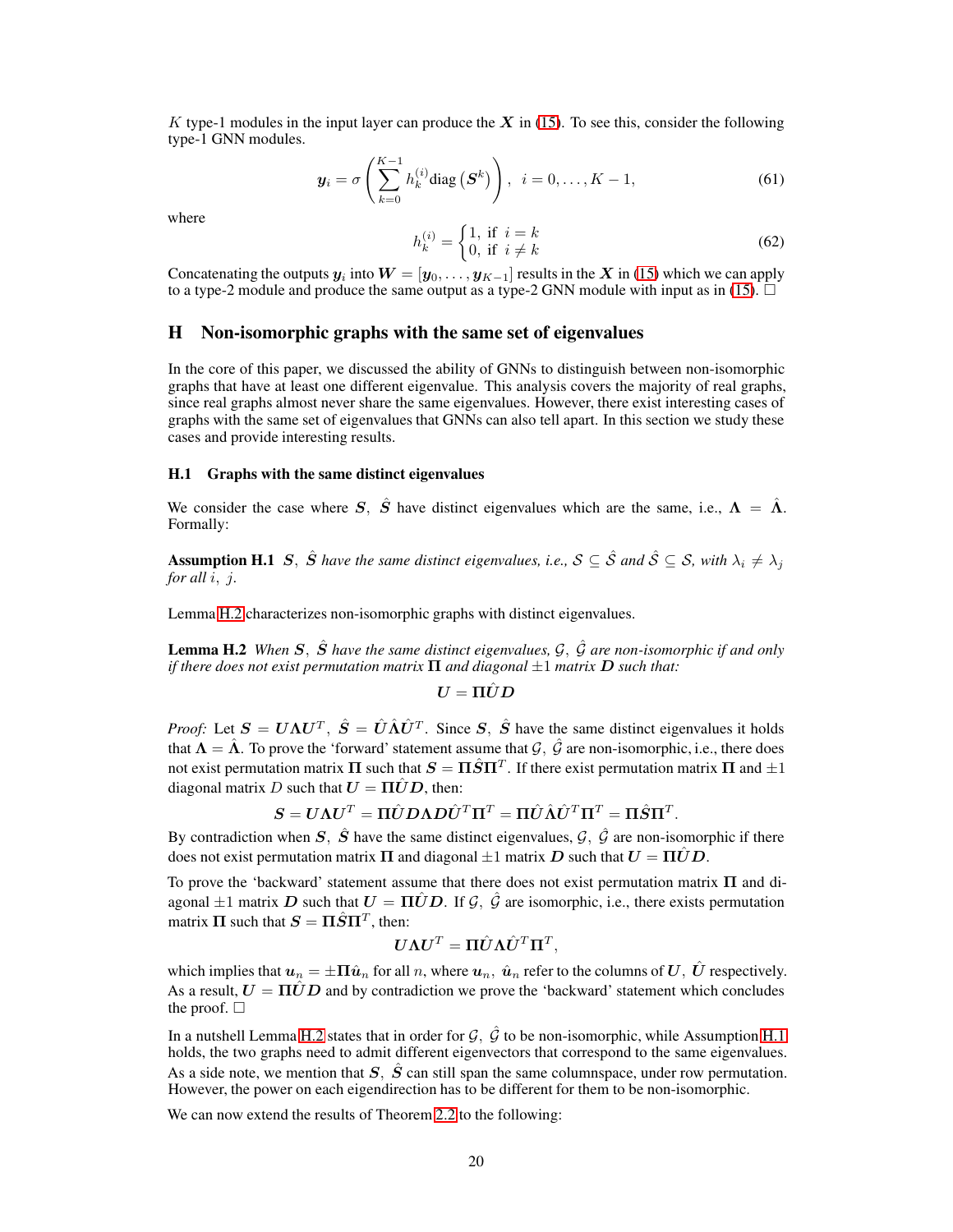K type-1 modules in the input layer can produce the  $X$  in [\(15\)](#page-6-2). To see this, consider the following type-1 GNN modules.

$$
\mathbf{y}_{i} = \sigma\left(\sum_{k=0}^{K-1} h_{k}^{(i)} \text{diag}\left(\mathbf{S}^{k}\right)\right), \quad i = 0, \ldots, K-1,
$$
\n<sup>(61)</sup>

where

$$
h_k^{(i)} = \begin{cases} 1, & \text{if } i = k \\ 0, & \text{if } i \neq k \end{cases} \tag{62}
$$

Concatenating the outputs  $y_i$  into  $W = [\ty_0, \dots, y_{K-1}]$  results in the  $X$  in [\(15\)](#page-6-2) which we can apply to a type-2 module and produce the same output as a type-2 GNN module with input as in [\(15\)](#page-6-2).  $\square$ 

# <span id="page-19-0"></span>H Non-isomorphic graphs with the same set of eigenvalues

In the core of this paper, we discussed the ability of GNNs to distinguish between non-isomorphic graphs that have at least one different eigenvalue. This analysis covers the majority of real graphs, since real graphs almost never share the same eigenvalues. However, there exist interesting cases of graphs with the same set of eigenvalues that GNNs can also tell apart. In this section we study these cases and provide interesting results.

#### H.1 Graphs with the same distinct eigenvalues

<span id="page-19-2"></span>We consider the case where S, S<sup>o</sup> have distinct eigenvalues which are the same, i.e.,  $\Lambda = \hat{\Lambda}$ . Formally:

**Assumption H.1** S,  $\hat{S}$  have the same distinct eigenvalues, i.e.,  $S \subseteq \hat{S}$  and  $\hat{S} \subseteq S$ , with  $\lambda_i \neq \lambda_j$ *for all*  $i$ ,  $j$ .

Lemma [H.2](#page-19-1) characterizes non-isomorphic graphs with distinct eigenvalues.

Lemma H.2 *When* S, Sˆ *have the same distinct eigenvalues,* G, Gˆ *are non-isomorphic if and only if there does not exist permutation matrix* Π *and diagonal* ±1 *matrix* D *such that:*

<span id="page-19-1"></span>
$$
\boldsymbol{U}=\boldsymbol{\Pi}\hat{\boldsymbol{U}}\boldsymbol{D}
$$

*Proof:* Let  $S = U\Lambda U^T$ ,  $\hat{S} = \hat{U}\hat{\Lambda}\hat{U}^T$ . Since S,  $\hat{S}$  have the same distinct eigenvalues it holds that  $\Lambda = \hat{\Lambda}$ . To prove the 'forward' statement assume that  $\mathcal{G}, \hat{\mathcal{G}}$  are non-isomorphic, i.e., there does not exist permutation matrix Π such that  $S = \Pi \hat{S} \Pi^T$ . If there exist permutation matrix Π and  $\pm 1$ diagonal matrix D such that  $U = \Pi \hat{U} D$ , then:

$$
\boldsymbol{S} = \boldsymbol{U}\boldsymbol{\Lambda}\boldsymbol{U}^T = \boldsymbol{\Pi}\hat{\boldsymbol{U}}\boldsymbol{D}\boldsymbol{\Lambda}\boldsymbol{D}\hat{\boldsymbol{U}}^T\boldsymbol{\Pi}^T = \boldsymbol{\Pi}\hat{\boldsymbol{U}}\hat{\boldsymbol{\Lambda}}\hat{\boldsymbol{U}}^T\boldsymbol{\Pi}^T = \boldsymbol{\Pi}\hat{\boldsymbol{S}}\boldsymbol{\Pi}^T.
$$

By contradiction when S,  $\hat{S}$  have the same distinct eigenvalues,  $\hat{G}$ ,  $\hat{G}$  are non-isomorphic if there does not exist permutation matrix  $\Pi$  and diagonal  $\pm 1$  matrix  $D$  such that  $U = \Pi \hat{U} D$ .

To prove the 'backward' statement assume that there does not exist permutation matrix  $\Pi$  and diagonal  $\pm 1$  matrix D such that  $U = \Pi \hat{U} D$ . If  $\hat{G}$ ,  $\hat{G}$  are isomorphic, i.e., there exists permutation matrix  $\Pi$  such that  $S = \Pi \hat{S} \Pi^T$ , then:

<span id="page-19-3"></span>
$$
\boldsymbol{U}\boldsymbol{\Lambda}\boldsymbol{U}^T=\boldsymbol{\Pi}\hat{\boldsymbol{U}}\boldsymbol{\Lambda}\hat{\boldsymbol{U}}^T\boldsymbol{\Pi}^T,
$$

which implies that  $u_n = \pm \Pi \hat{u}_n$  for all n, where  $u_n$ ,  $\hat{u}_n$  refer to the columns of U,  $\hat{U}$  respectively. As a result,  $U = \Pi \hat{U} D$  and by contradiction we prove the 'backward' statement which concludes the proof.  $\square$ 

In a nutshell Lemma [H.2](#page-19-1) states that in order for  $G$ ,  $\hat{G}$  to be non-isomorphic, while Assumption [H.1](#page-19-2) holds, the two graphs need to admit different eigenvectors that correspond to the same eigenvalues. As a side note, we mention that  $S$ ,  $\ddot{S}$  can still span the same columnspace, under row permutation. However, the power on each eigendirection has to be different for them to be non-isomorphic.

We can now extend the results of Theorem [2.2](#page-2-3) to the following: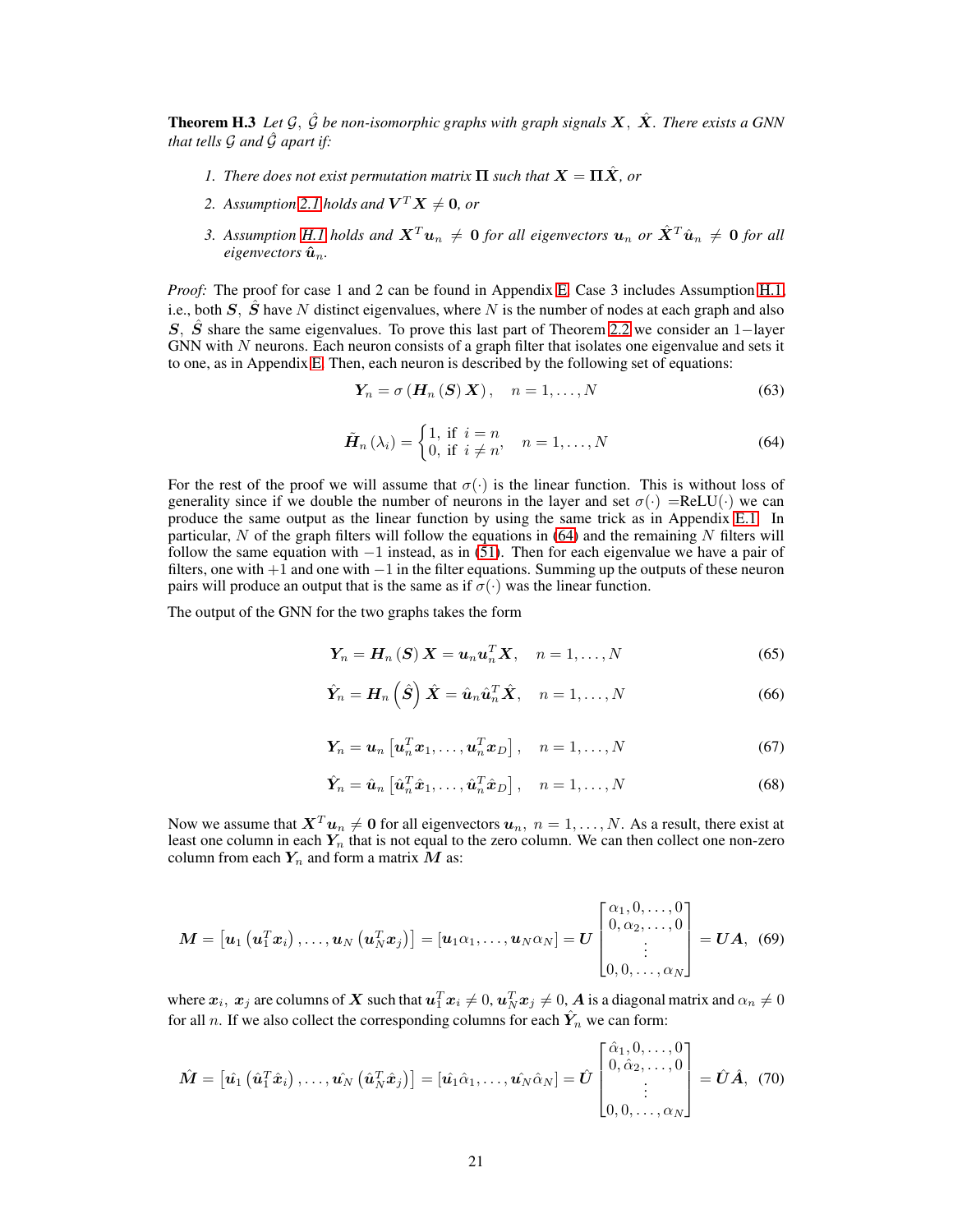**Theorem H.3** Let  $\mathcal{G}, \hat{\mathcal{G}}$  be non-isomorphic graphs with graph signals  $\mathbf{X}, \hat{\mathbf{X}}$ . There exists a GNN *that tells*  $G$  *and*  $\hat{G}$  *apart if:* 

- *1. There does not exist permutation matrix*  $\Pi$  *such that*  $X = \Pi \hat{X}$ *, or*
- 2. Assumption [2.1](#page-2-1) holds and  $V^T X \neq 0$ , or
- *3. Assumption [H.1](#page-19-2) holds and*  $X^T u_n \neq 0$  *for all eigenvectors*  $u_n$  *or*  $\hat{X}^T \hat{u}_n \neq 0$  *for all eigenvectors*  $\hat{\mathbf{u}}_n$ *.*

*Proof:* The proof for case 1 and 2 can be found in Appendix [E.](#page-16-2) Case 3 includes Assumption [H.1,](#page-19-2) i.e., both  $S$ ,  $\hat{S}$  have N distinct eigenvalues, where N is the number of nodes at each graph and also S,  $\hat{S}$  share the same eigenvalues. To prove this last part of Theorem [2.2](#page-2-3) we consider an 1–layer GNN with  $N$  neurons. Each neuron consists of a graph filter that isolates one eigenvalue and sets it to one, as in Appendix [E.](#page-16-2) Then, each neuron is described by the following set of equations:

$$
Y_n = \sigma(H_n(S)X), \quad n = 1, \dots, N
$$
\n(63)

$$
\tilde{H}_n(\lambda_i) = \begin{cases} 1, & \text{if } i = n \\ 0, & \text{if } i \neq n \end{cases}, n = 1, \dots, N \tag{64}
$$

<span id="page-20-0"></span>For the rest of the proof we will assume that  $\sigma(\cdot)$  is the linear function. This is without loss of generality since if we double the number of neurons in the layer and set  $\sigma(\cdot)$  =ReLU( $\cdot$ ) we can produce the same output as the linear function by using the same trick as in Appendix [E.1.](#page-17-0) In particular,  $N$  of the graph filters will follow the equations in [\(64\)](#page-20-0) and the remaining  $N$  filters will follow the same equation with  $-1$  instead, as in [\(51\)](#page-17-1). Then for each eigenvalue we have a pair of filters, one with  $+1$  and one with  $-1$  in the filter equations. Summing up the outputs of these neuron pairs will produce an output that is the same as if  $\sigma(\cdot)$  was the linear function.

The output of the GNN for the two graphs takes the form

$$
Y_n = H_n(S) X = u_n u_n^T X, \quad n = 1, \dots, N
$$
\n(65)

$$
\hat{\boldsymbol{Y}}_n = \boldsymbol{H}_n\left(\hat{\boldsymbol{S}}\right)\hat{\boldsymbol{X}} = \hat{\boldsymbol{u}}_n\hat{\boldsymbol{u}}_n^T\hat{\boldsymbol{X}}, \quad n = 1, \dots, N
$$
\n(66)

$$
\boldsymbol{Y}_n = \boldsymbol{u}_n \left[ \boldsymbol{u}_n^T \boldsymbol{x}_1, \dots, \boldsymbol{u}_n^T \boldsymbol{x}_D \right], \quad n = 1, \dots, N
$$
 (67)

$$
\hat{\mathbf{Y}}_n = \hat{\mathbf{u}}_n \left[ \hat{\mathbf{u}}_n^T \hat{\mathbf{x}}_1, \dots, \hat{\mathbf{u}}_n^T \hat{\mathbf{x}}_D \right], \quad n = 1, \dots, N
$$
\n(68)

Now we assume that  $X^T u_n \neq 0$  for all eigenvectors  $u_n$ ,  $n = 1, ..., N$ . As a result, there exist at least one column in each  $Y_n$  that is not equal to the zero column. We can then collect one non-zero column from each  $Y_n$  and form a matrix M as:

$$
\boldsymbol{M} = \left[\boldsymbol{u}_1\left(\boldsymbol{u}_1^T\boldsymbol{x}_i\right),\ldots,\boldsymbol{u}_N\left(\boldsymbol{u}_N^T\boldsymbol{x}_j\right)\right] = \left[\boldsymbol{u}_1\alpha_1,\ldots,\boldsymbol{u}_N\alpha_N\right] = \boldsymbol{U} \begin{bmatrix} \alpha_1,0,\ldots,0\\0,\alpha_2,\ldots,0\\ \vdots\\0,0,\ldots,\alpha_N \end{bmatrix} = \boldsymbol{U}\boldsymbol{A},\tag{69}
$$

where  $x_i,~x_j$  are columns of  $X$  such that  $u_1^T x_i \neq 0, u_N^T x_j \neq 0, A$  is a diagonal matrix and  $\alpha_n \neq 0$ for all n. If we also collect the corresponding columns for each  $\hat{Y}_n$  we can form:

$$
\hat{\boldsymbol{M}} = \left[\hat{\boldsymbol{u}}_1\left(\hat{\boldsymbol{u}}_1^T\hat{\boldsymbol{x}}_i\right),\ldots,\hat{\boldsymbol{u}}_N\left(\hat{\boldsymbol{u}}_N^T\hat{\boldsymbol{x}}_j\right)\right] = \left[\hat{\boldsymbol{u}}_1\hat{\alpha}_1,\ldots,\hat{\boldsymbol{u}}_N\hat{\alpha}_N\right] = \hat{\boldsymbol{U}}\begin{bmatrix} \hat{\alpha}_1,0,\ldots,0\\0,\hat{\alpha}_2,\ldots,0\\ \vdots\\0,0,\ldots,\alpha_N \end{bmatrix} = \hat{\boldsymbol{U}}\hat{\boldsymbol{A}},\tag{70}
$$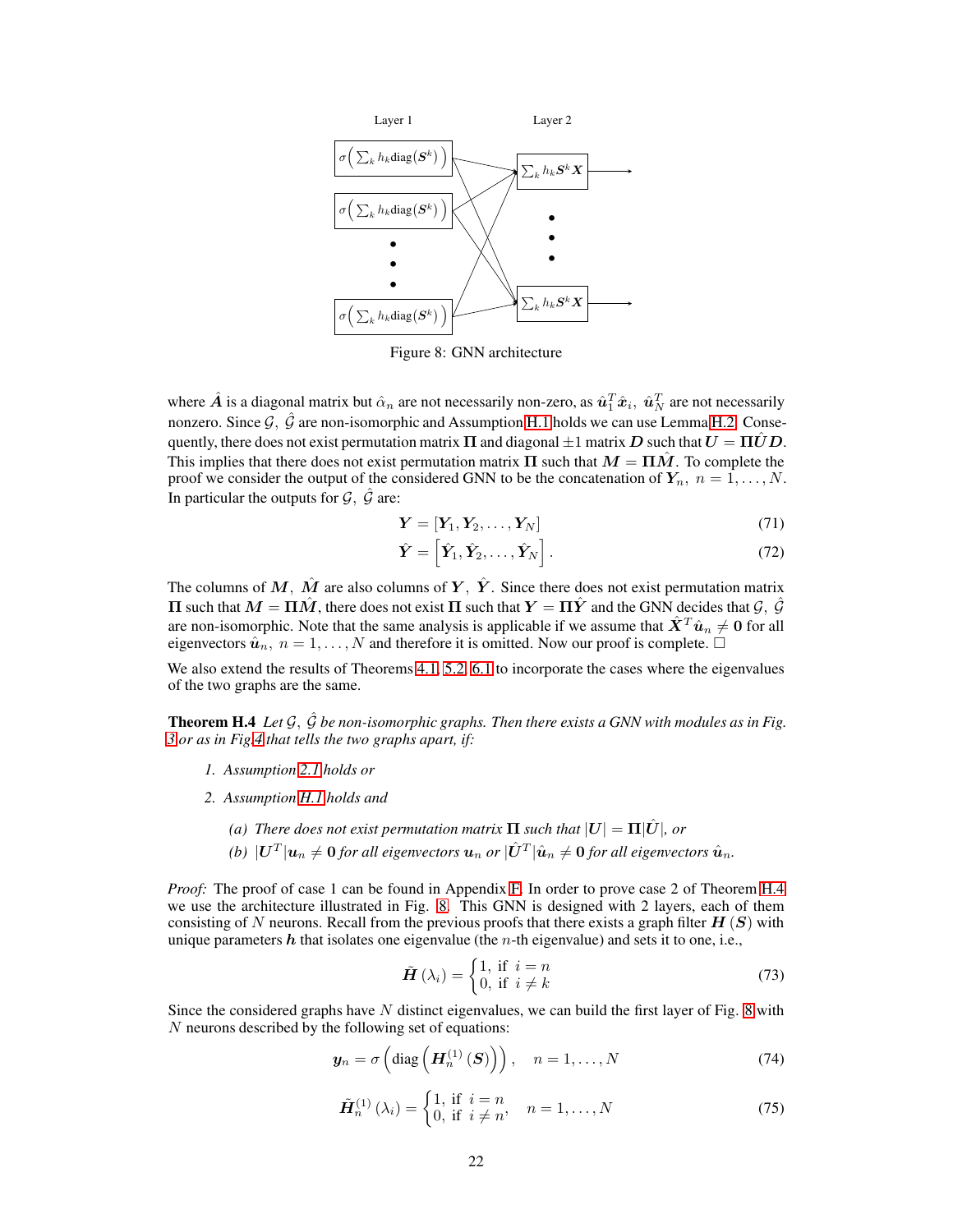<span id="page-21-1"></span>

Figure 8: GNN architecture

where  $\hat{A}$  is a diagonal matrix but  $\hat{\alpha}_n$  are not necessarily non-zero, as  $\hat{\bm{u}}_1^T\hat{\bm{x}}_i$ ,  $\hat{\bm{u}}_N^T$  are not necessarily nonzero. Since  $\mathcal{G}, \hat{\mathcal{G}}$  are non-isomorphic and Assumption [H.1](#page-19-2) holds we can use Lemma [H.2.](#page-19-1) Consequently, there does not exist permutation matrix  $\Pi$  and diagonal  $\pm 1$  matrix  $D$  such that  $U = \Pi \hat{U} D$ . This implies that there does not exist permutation matrix  $\Pi$  such that  $M = \Pi \hat{M}$ . To complete the proof we consider the output of the considered GNN to be the concatenation of  $Y_n$ ,  $n = 1, ..., N$ . In particular the outputs for  $\mathcal{G}, \hat{\mathcal{G}}$  are:

$$
\mathbf{Y} = [\mathbf{Y}_1, \mathbf{Y}_2, \dots, \mathbf{Y}_N] \tag{71}
$$

<span id="page-21-0"></span>
$$
\hat{\boldsymbol{Y}} = \begin{bmatrix} \hat{\boldsymbol{Y}}_1, \hat{\boldsymbol{Y}}_2, \dots, \hat{\boldsymbol{Y}}_N \end{bmatrix} . \tag{72}
$$

The columns of M,  $\hat{M}$  are also columns of Y,  $\hat{Y}$ . Since there does not exist permutation matrix  $\Pi$  such that  $M = \Pi \hat{M}$ , there does not exist  $\Pi$  such that  $Y = \Pi \hat{Y}$  and the GNN decides that  $\mathcal{G}, \hat{\mathcal{G}}$ are non-isomorphic. Note that the same analysis is applicable if we assume that  $\hat{X}^T \hat{u}_n \neq 0$  for all eigenvectors  $\hat{u}_n$ ,  $n = 1, ..., N$  and therefore it is omitted. Now our proof is complete.  $\Box$ 

We also extend the results of Theorems [4.1,](#page-4-5) [5.2,](#page-6-3) [6.1](#page-7-2) to incorporate the cases where the eigenvalues of the two graphs are the same.

Theorem H.4 *Let* G, Gˆ *be non-isomorphic graphs. Then there exists a GNN with modules as in Fig. [3](#page-4-2) or as in Fig[.4](#page-6-0) that tells the two graphs apart, if:*

- *1. Assumption [2.1](#page-2-1) holds or*
- *2. Assumption [H.1](#page-19-2) holds and*
	- *(a)* There does not exist permutation matrix  $\Pi$  such that  $|U| = \Pi |\hat{U}|$ , or
	- (b)  $|\bm{U}^T|\bm{u}_n\neq \bm{0}$  for all eigenvectors  $\bm{u}_n$  or  $|\hat{\bm{U}}^T|\hat{\bm{u}}_n\neq \bm{0}$  for all eigenvectors  $\hat{\bm{u}}_n$ .

*Proof:* The proof of case 1 can be found in Appendix [F.](#page-18-3) In order to prove case 2 of Theorem [H.4](#page-21-0) we use the architecture illustrated in Fig. [8.](#page-21-1) This GNN is designed with 2 layers, each of them consisting of N neurons. Recall from the previous proofs that there exists a graph filter  $H(S)$  with unique parameters  $h$  that isolates one eigenvalue (the *n*-th eigenvalue) and sets it to one, i.e.,

$$
\tilde{H}(\lambda_i) = \begin{cases} 1, & \text{if } i = n \\ 0, & \text{if } i \neq k \end{cases}
$$
 (73)

<span id="page-21-2"></span>Since the considered graphs have  $N$  distinct eigenvalues, we can build the first layer of Fig. [8](#page-21-1) with N neurons described by the following set of equations:

$$
\mathbf{y}_n = \sigma\left(\text{diag}\left(\mathbf{H}_n^{(1)}\left(\mathbf{S}\right)\right)\right), \quad n = 1, \dots, N \tag{74}
$$

$$
\tilde{H}_n^{(1)}\left(\lambda_i\right) = \begin{cases} 1, & \text{if } i = n \\ 0, & \text{if } i \neq n \end{cases}, \quad n = 1, \dots, N \tag{75}
$$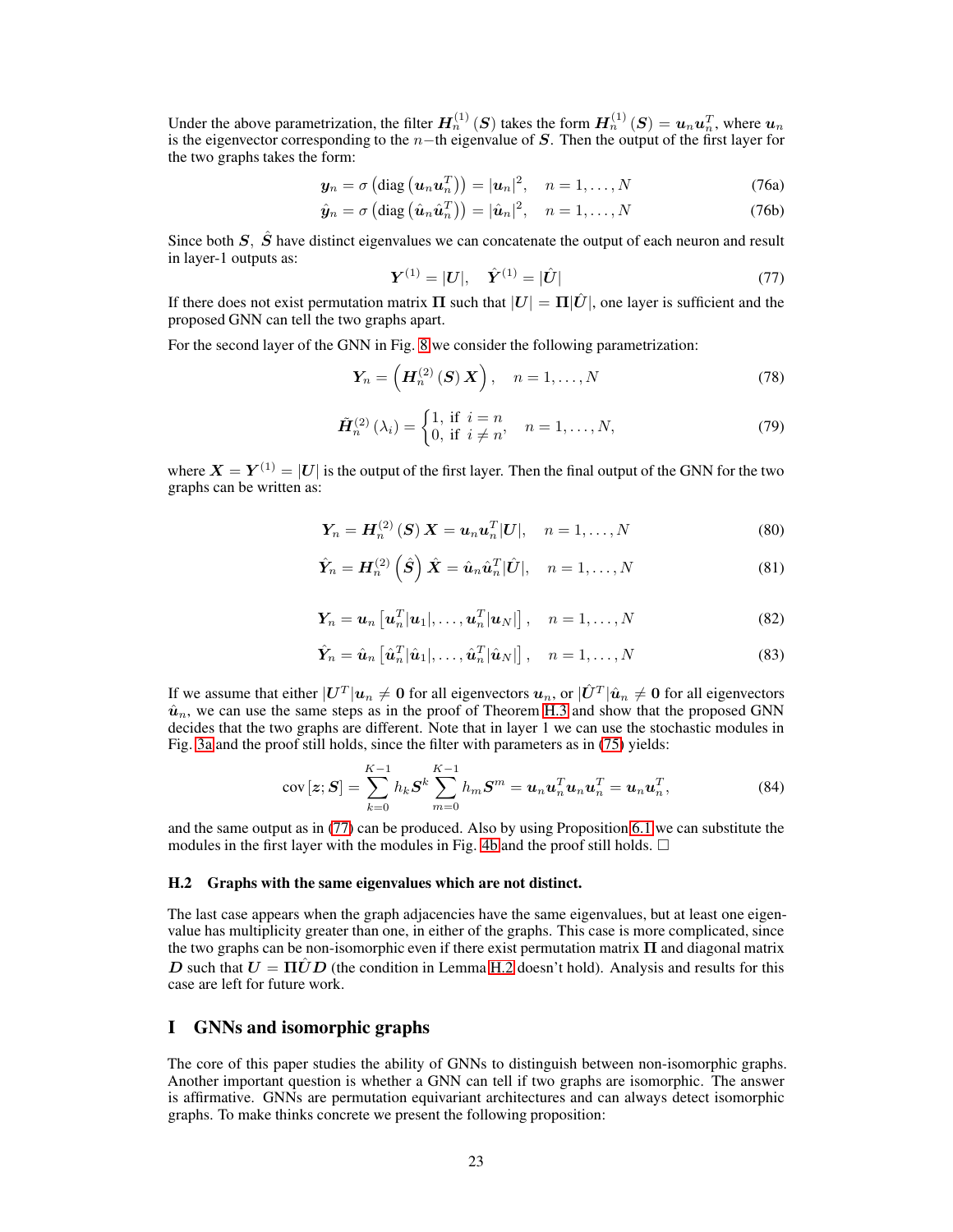Under the above parametrization, the filter  $H_n^{(1)}(S)$  takes the form  $H_n^{(1)}(S) = u_n u_n^T$ , where  $u_n$ is the eigenvector corresponding to the  $n-$ th eigenvalue of S. Then the output of the first layer for the two graphs takes the form:

$$
\mathbf{y}_n = \sigma\left(\text{diag}\left(\mathbf{u}_n\mathbf{u}_n^T\right)\right) = |\mathbf{u}_n|^2, \quad n = 1, \dots, N \tag{76a}
$$

<span id="page-22-0"></span>
$$
\hat{\mathbf{y}}_n = \sigma \left( \text{diag}\left( \hat{\mathbf{u}}_n \hat{\mathbf{u}}_n^T \right) \right) = |\hat{\mathbf{u}}_n|^2, \quad n = 1, \dots, N \tag{76b}
$$

Since both  $S$ ,  $\hat{S}$  have distinct eigenvalues we can concatenate the output of each neuron and result in layer-1 outputs as:

$$
Y^{(1)} = |U|, \quad \hat{Y}^{(1)} = |\hat{U}| \tag{77}
$$

If there does not exist permutation matrix  $\Pi$  such that  $|U| = \Pi|\hat{U}|$ , one layer is sufficient and the proposed GNN can tell the two graphs apart.

For the second layer of the GNN in Fig. [8](#page-21-1) we consider the following parametrization:

$$
\boldsymbol{Y}_n = \left(\boldsymbol{H}_n^{(2)}\left(\boldsymbol{S}\right)\boldsymbol{X}\right), \quad n = 1, \dots, N \tag{78}
$$

$$
\tilde{H}_n^{(2)}\left(\lambda_i\right) = \begin{cases} 1, & \text{if } i = n \\ 0, & \text{if } i \neq n \end{cases}, \quad n = 1, \dots, N,\tag{79}
$$

where  $\bm{X}=\bm{Y}^{(1)}=|\bm{U}|$  is the output of the first layer. Then the final output of the GNN for the two graphs can be written as:

$$
Y_n = H_n^{(2)}\left(S\right)X = u_n u_n^T |U|, \quad n = 1, \dots, N
$$
\n
$$
(80)
$$

$$
\hat{\boldsymbol{Y}}_n = \boldsymbol{H}_n^{(2)}\left(\hat{\boldsymbol{S}}\right)\hat{\boldsymbol{X}} = \hat{\boldsymbol{u}}_n\hat{\boldsymbol{u}}_n^T|\hat{\boldsymbol{U}}|, \quad n = 1, \dots, N
$$
\n(81)

$$
\boldsymbol{Y}_n = \boldsymbol{u}_n \left[ \boldsymbol{u}_n^T | \boldsymbol{u}_1 |, \dots, \boldsymbol{u}_n^T | \boldsymbol{u}_N | \right], \quad n = 1, \dots, N
$$
 (82)

$$
\hat{\boldsymbol{Y}}_n = \hat{\boldsymbol{u}}_n \left[ \hat{\boldsymbol{u}}_n^T | \hat{\boldsymbol{u}}_1 |, \dots, \hat{\boldsymbol{u}}_n^T | \hat{\boldsymbol{u}}_N | \right], \quad n = 1, \dots, N
$$
\n(83)

If we assume that either  $|U^T|u_n\neq 0$  for all eigenvectors  $u_n,$  or  $|\hat U^T|\hat u_n\neq 0$  for all eigenvectors  $\hat{u}_n$ , we can use the same steps as in the proof of Theorem [H.3](#page-19-3) and show that the proposed GNN decides that the two graphs are different. Note that in layer 1 we can use the stochastic modules in Fig. [3a](#page-4-2) and the proof still holds, since the filter with parameters as in [\(75\)](#page-21-2) yields:

$$
cov\left[\boldsymbol{z};\boldsymbol{S}\right] = \sum_{k=0}^{K-1} h_k \boldsymbol{S}^k \sum_{m=0}^{K-1} h_m \boldsymbol{S}^m = \boldsymbol{u}_n \boldsymbol{u}_n^T \boldsymbol{u}_n \boldsymbol{u}_n^T = \boldsymbol{u}_n \boldsymbol{u}_n^T,
$$
\n(84)

and the same output as in [\(77\)](#page-22-0) can be produced. Also by using Proposition [6.1](#page-6-1) we can substitute the modules in the first layer with the modules in Fig. [4b](#page-6-0) and the proof still holds.  $\Box$ 

#### H.2 Graphs with the same eigenvalues which are not distinct.

The last case appears when the graph adjacencies have the same eigenvalues, but at least one eigenvalue has multiplicity greater than one, in either of the graphs. This case is more complicated, since the two graphs can be non-isomorphic even if there exist permutation matrix  $\Pi$  and diagonal matrix D such that  $U = \Pi \hat{U} D$  (the condition in Lemma [H.2](#page-19-1) doesn't hold). Analysis and results for this case are left for future work.

# I GNNs and isomorphic graphs

<span id="page-22-1"></span>The core of this paper studies the ability of GNNs to distinguish between non-isomorphic graphs. Another important question is whether a GNN can tell if two graphs are isomorphic. The answer is affirmative. GNNs are permutation equivariant architectures and can always detect isomorphic graphs. To make thinks concrete we present the following proposition: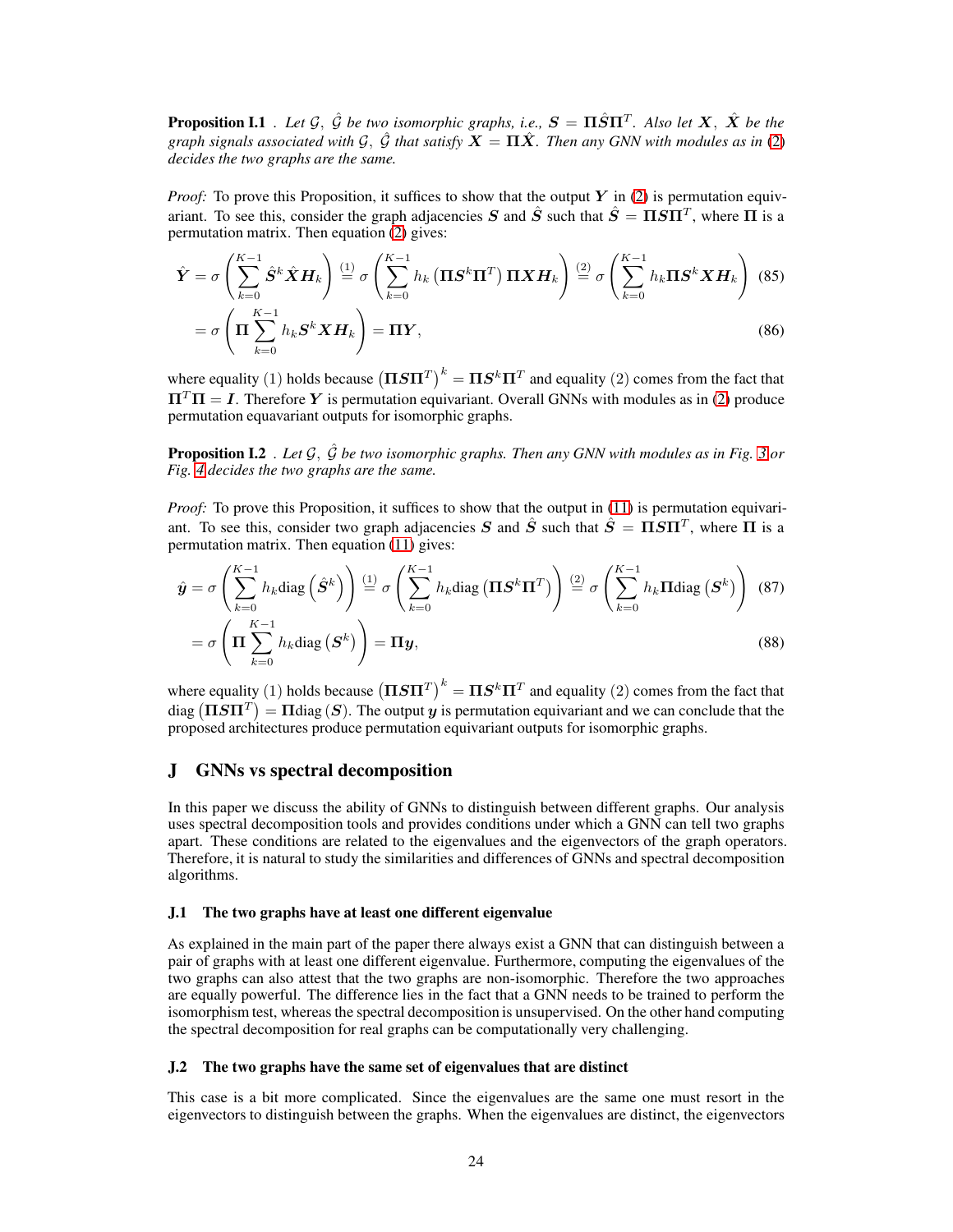**Proposition I.1** *. Let*  $\mathcal{G}$ ,  $\hat{\mathcal{G}}$  *be two isomorphic graphs, i.e.,*  $\mathbf{S} = \Pi \hat{S} \Pi^{T}$ *. Also let*  $\mathbf{X}$ *,*  $\hat{\mathbf{X}}$  *be the graph signals associated with*  $G$ ,  $\hat{G}$  *that satisfy*  $\mathbf{X} = \Pi \hat{X}$ *. Then any GNN with modules as in* [\(2\)](#page-2-2) *decides the two graphs are the same.*

*Proof:* To prove this Proposition, it suffices to show that the output Y in [\(2\)](#page-2-2) is permutation equivariant. To see this, consider the graph adjacencies S and  $\hat{S}$  such that  $\hat{S} = \Pi S \Pi^T$ , where  $\Pi$  is a permutation matrix. Then equation [\(2\)](#page-2-2) gives:

$$
\hat{\mathbf{Y}} = \sigma \left( \sum_{k=0}^{K-1} \hat{\mathbf{S}}^k \hat{\mathbf{X}} \mathbf{H}_k \right) \stackrel{(1)}{=} \sigma \left( \sum_{k=0}^{K-1} h_k \left( \mathbf{\Pi} \mathbf{S}^k \mathbf{\Pi}^T \right) \mathbf{\Pi} \mathbf{X} \mathbf{H}_k \right) \stackrel{(2)}{=} \sigma \left( \sum_{k=0}^{K-1} h_k \mathbf{\Pi} \mathbf{S}^k \mathbf{X} \mathbf{H}_k \right) \tag{85}
$$
\n
$$
= \sigma \left( \mathbf{\Pi} \sum_{k=0}^{K-1} h_k \mathbf{S}^k \mathbf{X} \mathbf{H}_k \right) = \mathbf{\Pi} \mathbf{Y}, \tag{86}
$$

where equality (1) holds because  $\left(\Pi S \Pi^T\right)^k = \Pi S^k \Pi^T$  and equality (2) comes from the fact that  $\Pi^T \Pi = I$ . Therefore Y is permutation equivariant. Overall GNNs with modules as in [\(2\)](#page-2-2) produce permutation equavariant outputs for isomorphic graphs.

<span id="page-23-0"></span>**Proposition I.2** *. Let*  $G$ *,*  $\hat{G}$  *be two isomorphic graphs. Then any GNN with modules as in Fig. [3](#page-4-2) or Fig. [4](#page-6-0) decides the two graphs are the same.*

*Proof:* To prove this Proposition, it suffices to show that the output in [\(11\)](#page-5-2) is permutation equivariant. To see this, consider two graph adjacencies S and  $\hat{S}$  such that  $\hat{S} = \Pi S \Pi^T$ , where  $\Pi$  is a permutation matrix. Then equation [\(11\)](#page-5-2) gives:

$$
\hat{\mathbf{y}} = \sigma \left( \sum_{k=0}^{K-1} h_k \text{diag} \left( \hat{\mathbf{S}}^k \right) \right) \stackrel{(1)}{=} \sigma \left( \sum_{k=0}^{K-1} h_k \text{diag} \left( \mathbf{\Pi} \mathbf{S}^k \mathbf{\Pi}^T \right) \right) \stackrel{(2)}{=} \sigma \left( \sum_{k=0}^{K-1} h_k \mathbf{\Pi} \text{diag} \left( \mathbf{S}^k \right) \right) \tag{87}
$$
\n
$$
= \sigma \left( \mathbf{\Pi} \sum_{k=0}^{K-1} h_k \text{diag} \left( \mathbf{S}^k \right) \right) = \mathbf{\Pi} \mathbf{y}, \tag{88}
$$

where equality (1) holds because  $\left(\Pi S \Pi^T\right)^k = \Pi S^k \Pi^T$  and equality (2) comes from the fact that diag  $(\Pi S \Pi^T) = \Pi$ diag  $(S)$ . The output  $y$  is permutation equivariant and we can conclude that the proposed architectures produce permutation equivariant outputs for isomorphic graphs.

## J GNNs vs spectral decomposition

In this paper we discuss the ability of GNNs to distinguish between different graphs. Our analysis uses spectral decomposition tools and provides conditions under which a GNN can tell two graphs apart. These conditions are related to the eigenvalues and the eigenvectors of the graph operators. Therefore, it is natural to study the similarities and differences of GNNs and spectral decomposition algorithms.

#### J.1 The two graphs have at least one different eigenvalue

As explained in the main part of the paper there always exist a GNN that can distinguish between a pair of graphs with at least one different eigenvalue. Furthermore, computing the eigenvalues of the two graphs can also attest that the two graphs are non-isomorphic. Therefore the two approaches are equally powerful. The difference lies in the fact that a GNN needs to be trained to perform the isomorphism test, whereas the spectral decomposition is unsupervised. On the other hand computing the spectral decomposition for real graphs can be computationally very challenging.

#### J.2 The two graphs have the same set of eigenvalues that are distinct

This case is a bit more complicated. Since the eigenvalues are the same one must resort in the eigenvectors to distinguish between the graphs. When the eigenvalues are distinct, the eigenvectors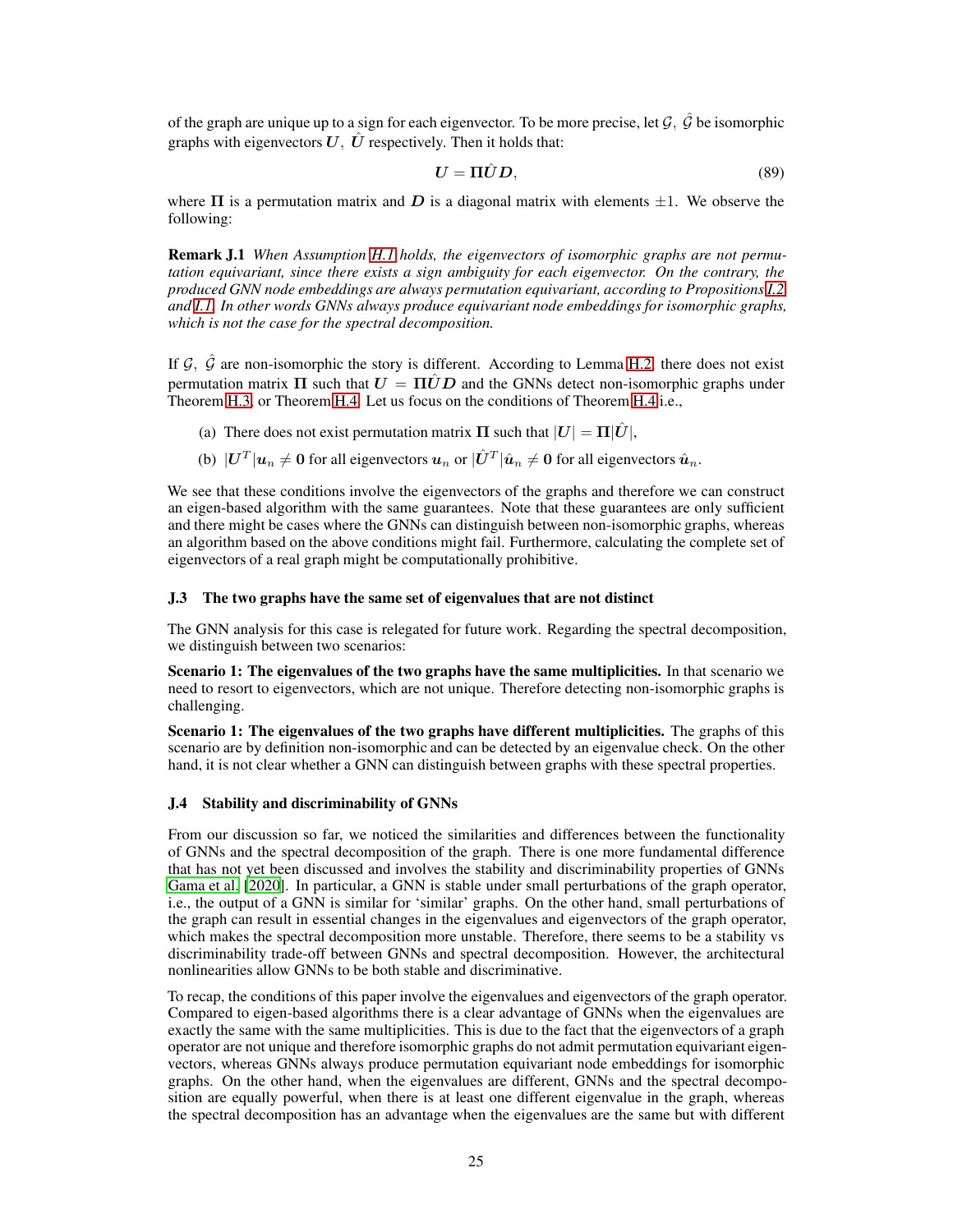of the graph are unique up to a sign for each eigenvector. To be more precise, let  $\mathcal{G}, \hat{\mathcal{G}}$  be isomorphic graphs with eigenvectors  $U, \hat{U}$  respectively. Then it holds that:

$$
U = \Pi \hat{U} D, \tag{89}
$$

where  $\Pi$  is a permutation matrix and D is a diagonal matrix with elements  $\pm 1$ . We observe the following:

Remark J.1 *When Assumption [H.1](#page-19-2) holds, the eigenvectors of isomorphic graphs are not permutation equivariant, since there exists a sign ambiguity for each eigenvector. On the contrary, the produced GNN node embeddings are always permutation equivariant, according to Propositions [I.2](#page-23-0) and [I.1.](#page-22-1) In other words GNNs always produce equivariant node embeddings for isomorphic graphs, which is not the case for the spectral decomposition.*

If  $\mathcal{G}$ ,  $\hat{\mathcal{G}}$  are non-isomorphic the story is different. According to Lemma [H.2,](#page-19-1) there does not exist permutation matrix  $\Pi$  such that  $U = \Pi \hat{U} D$  and the GNNs detect non-isomorphic graphs under Theorem [H.3,](#page-19-3) or Theorem [H.4.](#page-21-0) Let us focus on the conditions of Theorem [H.4](#page-21-0) i.e.,

- (a) There does not exist permutation matrix  $\Pi$  such that  $|U| = \Pi |\hat{U}|$ ,
- (b)  $|\boldsymbol{U}^T|\boldsymbol{u}_n\neq\boldsymbol{0}$  for all eigenvectors  $\boldsymbol{u}_n$  or  $|\hat{\boldsymbol{U}}^T|\hat{\boldsymbol{u}}_n\neq\boldsymbol{0}$  for all eigenvectors  $\hat{\boldsymbol{u}}_n$ .

We see that these conditions involve the eigenvectors of the graphs and therefore we can construct an eigen-based algorithm with the same guarantees. Note that these guarantees are only sufficient and there might be cases where the GNNs can distinguish between non-isomorphic graphs, whereas an algorithm based on the above conditions might fail. Furthermore, calculating the complete set of eigenvectors of a real graph might be computationally prohibitive.

#### J.3 The two graphs have the same set of eigenvalues that are not distinct

The GNN analysis for this case is relegated for future work. Regarding the spectral decomposition, we distinguish between two scenarios:

Scenario 1: The eigenvalues of the two graphs have the same multiplicities. In that scenario we need to resort to eigenvectors, which are not unique. Therefore detecting non-isomorphic graphs is challenging.

Scenario 1: The eigenvalues of the two graphs have different multiplicities. The graphs of this scenario are by definition non-isomorphic and can be detected by an eigenvalue check. On the other hand, it is not clear whether a GNN can distinguish between graphs with these spectral properties.

#### J.4 Stability and discriminability of GNNs

From our discussion so far, we noticed the similarities and differences between the functionality of GNNs and the spectral decomposition of the graph. There is one more fundamental difference that has not yet been discussed and involves the stability and discriminability properties of GNNs [Gama et al. \[2020\]](#page-9-4). In particular, a GNN is stable under small perturbations of the graph operator, i.e., the output of a GNN is similar for 'similar' graphs. On the other hand, small perturbations of the graph can result in essential changes in the eigenvalues and eigenvectors of the graph operator, which makes the spectral decomposition more unstable. Therefore, there seems to be a stability vs discriminability trade-off between GNNs and spectral decomposition. However, the architectural nonlinearities allow GNNs to be both stable and discriminative.

To recap, the conditions of this paper involve the eigenvalues and eigenvectors of the graph operator. Compared to eigen-based algorithms there is a clear advantage of GNNs when the eigenvalues are exactly the same with the same multiplicities. This is due to the fact that the eigenvectors of a graph operator are not unique and therefore isomorphic graphs do not admit permutation equivariant eigenvectors, whereas GNNs always produce permutation equivariant node embeddings for isomorphic graphs. On the other hand, when the eigenvalues are different, GNNs and the spectral decomposition are equally powerful, when there is at least one different eigenvalue in the graph, whereas the spectral decomposition has an advantage when the eigenvalues are the same but with different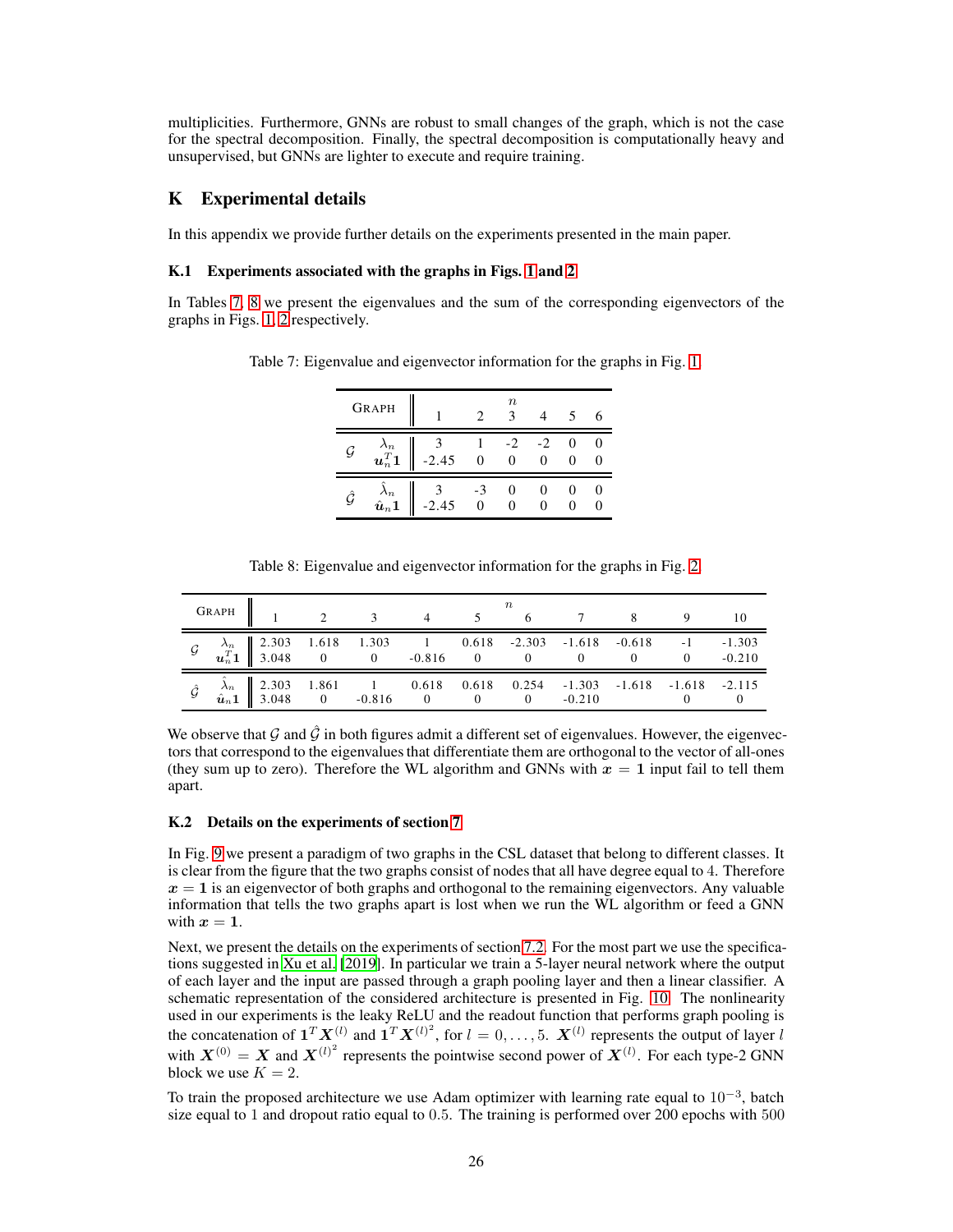multiplicities. Furthermore, GNNs are robust to small changes of the graph, which is not the case for the spectral decomposition. Finally, the spectral decomposition is computationally heavy and unsupervised, but GNNs are lighter to execute and require training.

# <span id="page-25-2"></span>K Experimental details

In this appendix we provide further details on the experiments presented in the main paper.

#### K.1 Experiments associated with the graphs in Figs. [1](#page-3-0) and [2](#page-4-0)

<span id="page-25-0"></span>In Tables [7,](#page-25-0) [8](#page-25-1) we present the eigenvalues and the sum of the corresponding eigenvectors of the graphs in Figs. [1,](#page-3-0) [2](#page-4-0) respectively.

|                | <b>GRAPH</b>                                         |                   | $\it n$<br>3   |           |  |
|----------------|------------------------------------------------------|-------------------|----------------|-----------|--|
| $\mathcal G$   | $\frac{\lambda_n}{\boldsymbol{u}_n^T\boldsymbol{1}}$ | $\frac{3}{-2.45}$ | $\overline{0}$ | $-2$<br>0 |  |
| $\hat{\cal G}$ | $\overset{\lambda_n}{\hat{\bm{u}}_n} \bm{1}$         | $3 -3$<br>-2.45 0 | $\theta$       |           |  |

Table 7: Eigenvalue and eigenvector information for the graphs in Fig. [1.](#page-3-0)

Table 8: Eigenvalue and eigenvector information for the graphs in Fig. [2.](#page-4-0)

<span id="page-25-1"></span>

| GRAPH $1 \t 2 \t 3 \t 4 \t 5 \t 6 \t 7 \t 8 \t 9 \t 10$                                                                                                     |  |  |  |  |  |
|-------------------------------------------------------------------------------------------------------------------------------------------------------------|--|--|--|--|--|
| $\mathcal{G}$ $\lambda_n$ 2.303 1.618 1.303 1 0.618 -2.303 -1.618 -0.618 -1 -1.303<br>$\mathbf{u}_n^T \mathbf{1}$ 3.048 0 0 -0.816 0 0 0 0 0 -0.210         |  |  |  |  |  |
| $\hat{\mathcal{G}}$ $\hat{\lambda}_n$ 2.303 1.861 1 0.618 0.618 0.254 -1.303 -1.618 -1.618 -2.115<br>$\hat{\mathbf{u}}_n$ 1 3.048 0 -0.816 0 0 0 -0.210 0 0 |  |  |  |  |  |

We observe that G and  $\hat{G}$  in both figures admit a different set of eigenvalues. However, the eigenvectors that correspond to the eigenvalues that differentiate them are orthogonal to the vector of all-ones (they sum up to zero). Therefore the WL algorithm and GNNs with  $x = 1$  input fail to tell them apart.

#### K.2 Details on the experiments of section [7](#page-7-3)

In Fig. [9](#page-26-0) we present a paradigm of two graphs in the CSL dataset that belong to different classes. It is clear from the figure that the two graphs consist of nodes that all have degree equal to 4. Therefore  $x = 1$  is an eigenvector of both graphs and orthogonal to the remaining eigenvectors. Any valuable information that tells the two graphs apart is lost when we run the WL algorithm or feed a GNN with  $x = 1$ .

Next, we present the details on the experiments of section [7.2.](#page-8-2) For the most part we use the specifications suggested in [Xu et al.](#page-11-3) [\[2019\]](#page-11-3). In particular we train a 5-layer neural network where the output of each layer and the input are passed through a graph pooling layer and then a linear classifier. A schematic representation of the considered architecture is presented in Fig. [10.](#page-26-1) The nonlinearity used in our experiments is the leaky ReLU and the readout function that performs graph pooling is the concatenation of  $\mathbf{1}^T \mathbf{X}^{(l)}$  and  $\mathbf{1}^T \mathbf{X}^{(l)^2}$ , for  $l = 0, \ldots, 5$ .  $\mathbf{X}^{(l)}$  represents the output of layer l with  $X^{(0)} = X$  and  $X^{(l)^2}$  represents the pointwise second power of  $X^{(l)}$ . For each type-2 GNN block we use  $K = 2$ .

To train the proposed architecture we use Adam optimizer with learning rate equal to  $10^{-3}$ , batch size equal to 1 and dropout ratio equal to 0.5. The training is performed over 200 epochs with 500